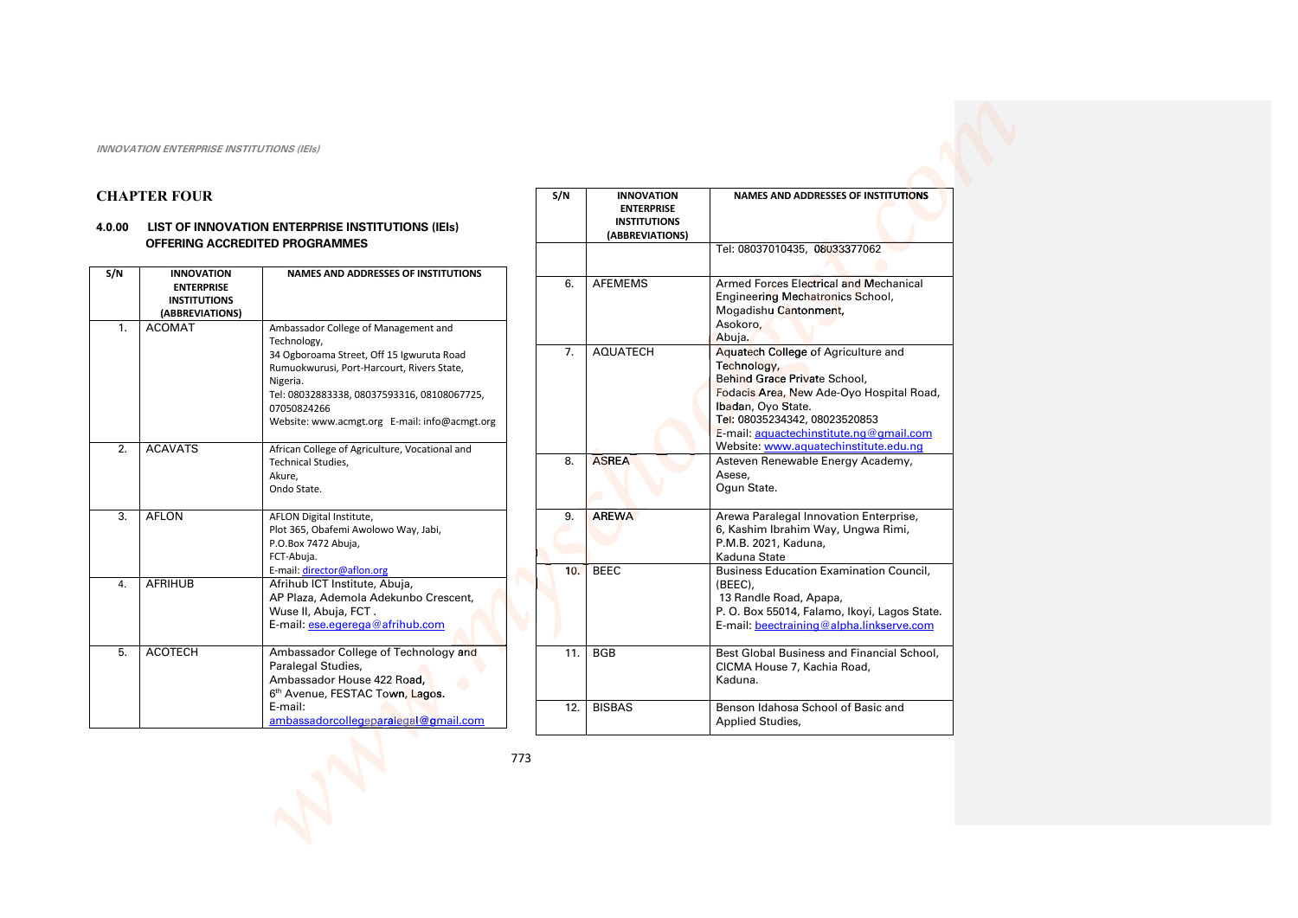# **CHAPTER FOUR**

## 4.0.00 LIST OF INNOVATION ENTERPRISE INSTITUTIONS (IEIs) **OFFERING ACCREDITED PROGRAMMES**

| S/N              | <b>INNOVATION</b><br><b>ENTERPRISE</b> | <b>NAMES AND ADDRESSES OF INSTITUTIONS</b>     |
|------------------|----------------------------------------|------------------------------------------------|
|                  | <b>INSTITUTIONS</b>                    |                                                |
|                  | (ABBREVIATIONS)                        |                                                |
| 1.               | <b>ACOMAT</b>                          | Ambassador College of Management and           |
|                  |                                        | Technology,                                    |
|                  |                                        | 34 Ogboroama Street, Off 15 Igwuruta Road      |
|                  |                                        | Rumuokwurusi, Port-Harcourt, Rivers State,     |
|                  |                                        | Nigeria.                                       |
|                  |                                        | Tel: 08032883338, 08037593316, 08108067725,    |
|                  |                                        | 07050824266                                    |
|                  |                                        | Website: www.acmgt.org E-mail: info@acmgt.org  |
| $\overline{2}$ . | <b>ACAVATS</b>                         | African College of Agriculture, Vocational and |
|                  |                                        | <b>Technical Studies,</b>                      |
|                  |                                        | Akure,                                         |
|                  |                                        | Ondo State.                                    |
| 3.               | AFLON                                  | AFLON Digital Institute,                       |
|                  |                                        | Plot 365, Obafemi Awolowo Way, Jabi,           |
|                  |                                        | P.O.Box 7472 Abuja,                            |
|                  |                                        | FCT-Abuja.                                     |
|                  |                                        | E-mail: director@aflon.org                     |
| 4.               | <b>AFRIHUB</b>                         | Afrihub ICT Institute, Abuja,                  |
|                  |                                        | AP Plaza, Ademola Adekunbo Crescent,           |
|                  |                                        | Wuse II, Abuja, FCT.                           |
|                  |                                        | E-mail: ese.egerega@afrihub.com                |
| 5.               | <b>ACOTECH</b>                         | Ambassador College of Technology and           |
|                  |                                        | Paralegal Studies,                             |
|                  |                                        | Ambassador House 422 Road,                     |
|                  |                                        | 6 <sup>th</sup> Avenue, FESTAC Town, Lagos.    |
|                  |                                        | E-mail:                                        |
|                  |                                        | ambassadorcollegeparalegal@gmail.com           |

| S/N | <b>INNOVATION</b><br><b>ENTERPRISE</b><br><b>INSTITUTIONS</b><br>(ABBREVIATIONS) | <b>NAMES AND ADDRESSES OF INSTITUTIONS</b>                                                                                                                                                                                                                                |
|-----|----------------------------------------------------------------------------------|---------------------------------------------------------------------------------------------------------------------------------------------------------------------------------------------------------------------------------------------------------------------------|
|     |                                                                                  | Tel: 08037010435, 08033377062                                                                                                                                                                                                                                             |
| 6.  | <b>AFEMEMS</b>                                                                   | Armed Forces Electrical and Mechanical<br>Engineering Mechatronics School,<br>Mogadishu Cantonment,<br>Asokoro,<br>Abuja.                                                                                                                                                 |
| 7.  | <b>AQUATECH</b>                                                                  | Aquatech College of Agriculture and<br>Technology,<br>Behind Grace Private School,<br>Fodacis Area, New Ade-Oyo Hospital Road,<br>Ibadan, Oyo State.<br>Tel: 08035234342, 08023520853<br>E-mail: aquactechinstitute.ng@gmail.com<br>Website: www.aquatechinstitute.edu.nq |
| 8.  | <b>ASREA</b>                                                                     | Asteven Renewable Energy Academy,<br>Asese,<br>Oqun State.                                                                                                                                                                                                                |
| 9.  | <b>AREWA</b>                                                                     | Arewa Paralegal Innovation Enterprise,<br>6, Kashim Ibrahim Way, Ungwa Rimi,<br>P.M.B. 2021, Kaduna,<br>Kaduna State                                                                                                                                                      |
| 10. | <b>BEEC</b>                                                                      | <b>Business Education Examination Council,</b><br>(BEEC),<br>13 Randle Road, Apapa,<br>P. O. Box 55014, Falamo, Ikoyi, Lagos State.<br>E-mail: beectraining@alpha.linkserve.com                                                                                           |
| 11. | <b>BGB</b>                                                                       | Best Global Business and Financial School,<br>CICMA House 7, Kachia Road,<br>Kaduna.                                                                                                                                                                                      |
| 12. | <b>BISBAS</b>                                                                    | Benson Idahosa School of Basic and<br><b>Applied Studies,</b>                                                                                                                                                                                                             |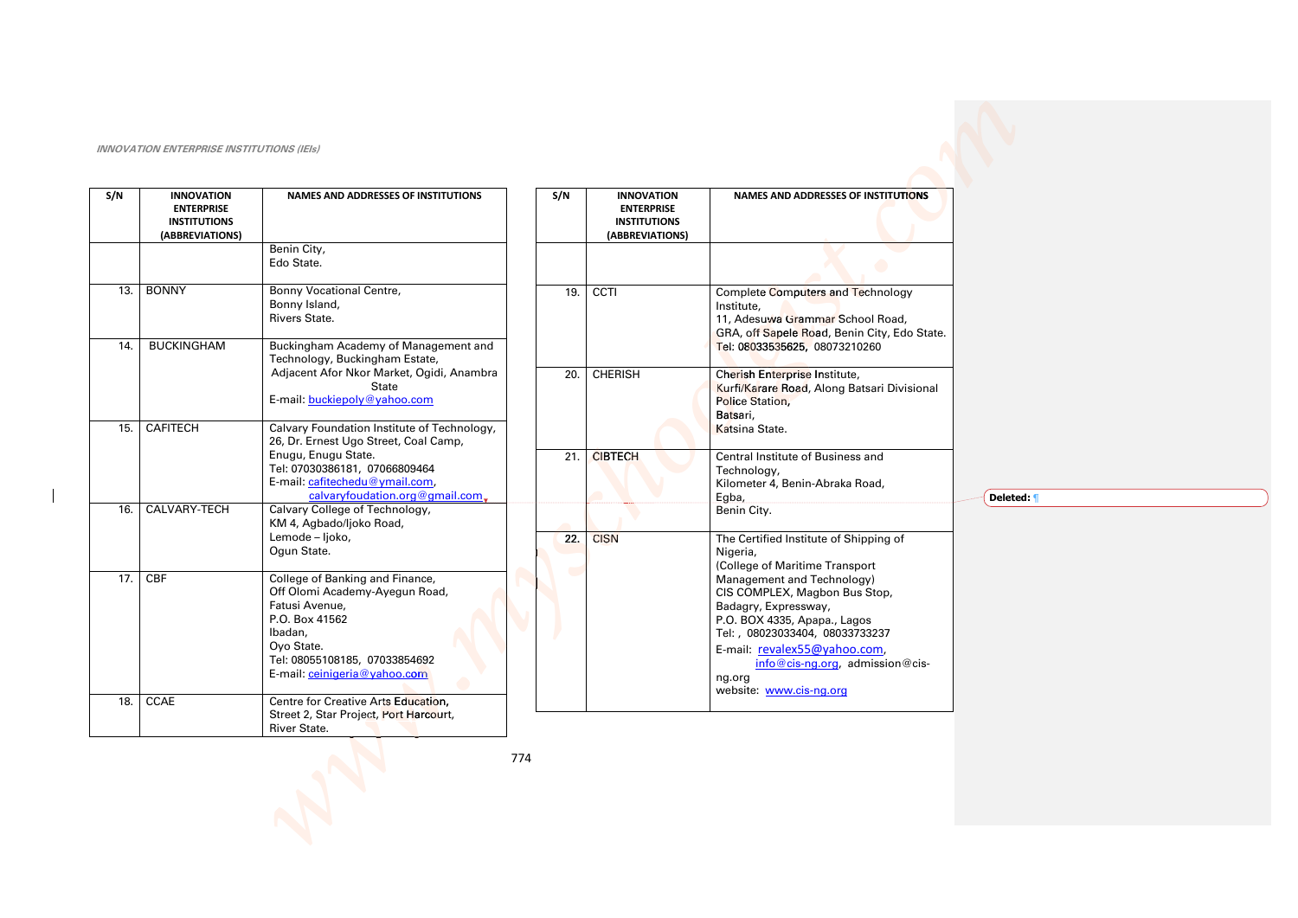| S/N | <b>INNOVATION</b><br><b>ENTERPRISE</b><br><b>INSTITUTIONS</b><br>(ABBREVIATIONS) | <b>NAMES AND ADDRESSES OF INSTITUTIONS</b>                                                                                |     | S/N                    | <b>INNOVATION</b><br><b>ENTERPRISE</b><br><b>INSTITUTIONS</b><br>(ABBREVIATIONS) | <b>NAMES AND ADDRESSES OF INSTITUTIONS</b>                                                                                                            |
|-----|----------------------------------------------------------------------------------|---------------------------------------------------------------------------------------------------------------------------|-----|------------------------|----------------------------------------------------------------------------------|-------------------------------------------------------------------------------------------------------------------------------------------------------|
|     |                                                                                  | Benin City,<br>Edo State.                                                                                                 |     |                        |                                                                                  |                                                                                                                                                       |
| 13. | <b>BONNY</b>                                                                     | Bonny Vocational Centre,<br>Bonny Island,<br><b>Rivers State.</b>                                                         |     | 19.                    | CCTI                                                                             | <b>Complete Computers and Technology</b><br>Institute.<br>11, Adesuwa Grammar School Road,<br>GRA, off Sapele Road, Benin City, Edo State.            |
| 14. | <b>BUCKINGHAM</b>                                                                | Buckingham Academy of Management and<br>Technology, Buckingham Estate,                                                    |     |                        |                                                                                  | Tel: 08033535625, 08073210260                                                                                                                         |
|     |                                                                                  | Adjacent Afor Nkor Market, Ogidi, Anambra<br><b>State</b><br>E-mail: buckiepoly@yahoo.com                                 |     | 20.                    | <b>CHERISH</b>                                                                   | Cherish Enterprise Institute,<br>Kurfi/Karare Road, Along Batsari Divisional<br><b>Police Station.</b><br>Batsari,                                    |
| 15. | <b>CAFITECH</b>                                                                  | Calvary Foundation Institute of Technology,<br>26, Dr. Ernest Ugo Street, Coal Camp,                                      |     |                        |                                                                                  | Katsina State.                                                                                                                                        |
|     |                                                                                  | Enugu, Enugu State.<br>Tel: 07030386181, 07066809464<br>E-mail: cafitechedu@ymail.com,<br>calvaryfoudation.org@gmail.com. |     | 21.                    | <b>CIBTECH</b>                                                                   | Central Institute of Business and<br>Technology,<br>Kilometer 4, Benin-Abraka Road,<br>Egba,                                                          |
| 16. | CALVARY-TECH                                                                     | Calvary College of Technology,<br>KM 4, Agbado/ljoko Road,                                                                |     |                        |                                                                                  | Benin City.                                                                                                                                           |
|     |                                                                                  | Lemode - Ijoko,<br>Oqun State.                                                                                            |     | $\overline{22}$ .<br>m | <b>CISN</b>                                                                      | The Certified Institute of Shipping of<br>Nigeria,<br>(College of Maritime Transport                                                                  |
| 17. | <b>CBF</b>                                                                       | College of Banking and Finance,<br>Off Olomi Academy-Ayegun Road,<br>Fatusi Avenue,<br>P.O. Box 41562<br>Ibadan,          |     |                        |                                                                                  | Management and Technology)<br>CIS COMPLEX, Magbon Bus Stop,<br>Badagry, Expressway,<br>P.O. BOX 4335, Apapa., Lagos<br>Tel:, 08023033404, 08033733237 |
|     |                                                                                  | Ovo State.<br>Tel: 08055108185, 07033854692<br>E-mail: ceinigeria@yahoo.com                                               |     |                        |                                                                                  | E-mail: revalex55@yahoo.com,<br>info@cis-ng.org, admission@cis-<br>ng.org<br>website: www.cis-ng.org                                                  |
| 18. | <b>CCAE</b>                                                                      | Centre for Creative Arts Education,<br>Street 2, Star Project, Port Harcourt,<br>River State.                             |     |                        |                                                                                  |                                                                                                                                                       |
|     |                                                                                  |                                                                                                                           | 774 |                        |                                                                                  |                                                                                                                                                       |

Deleted: 1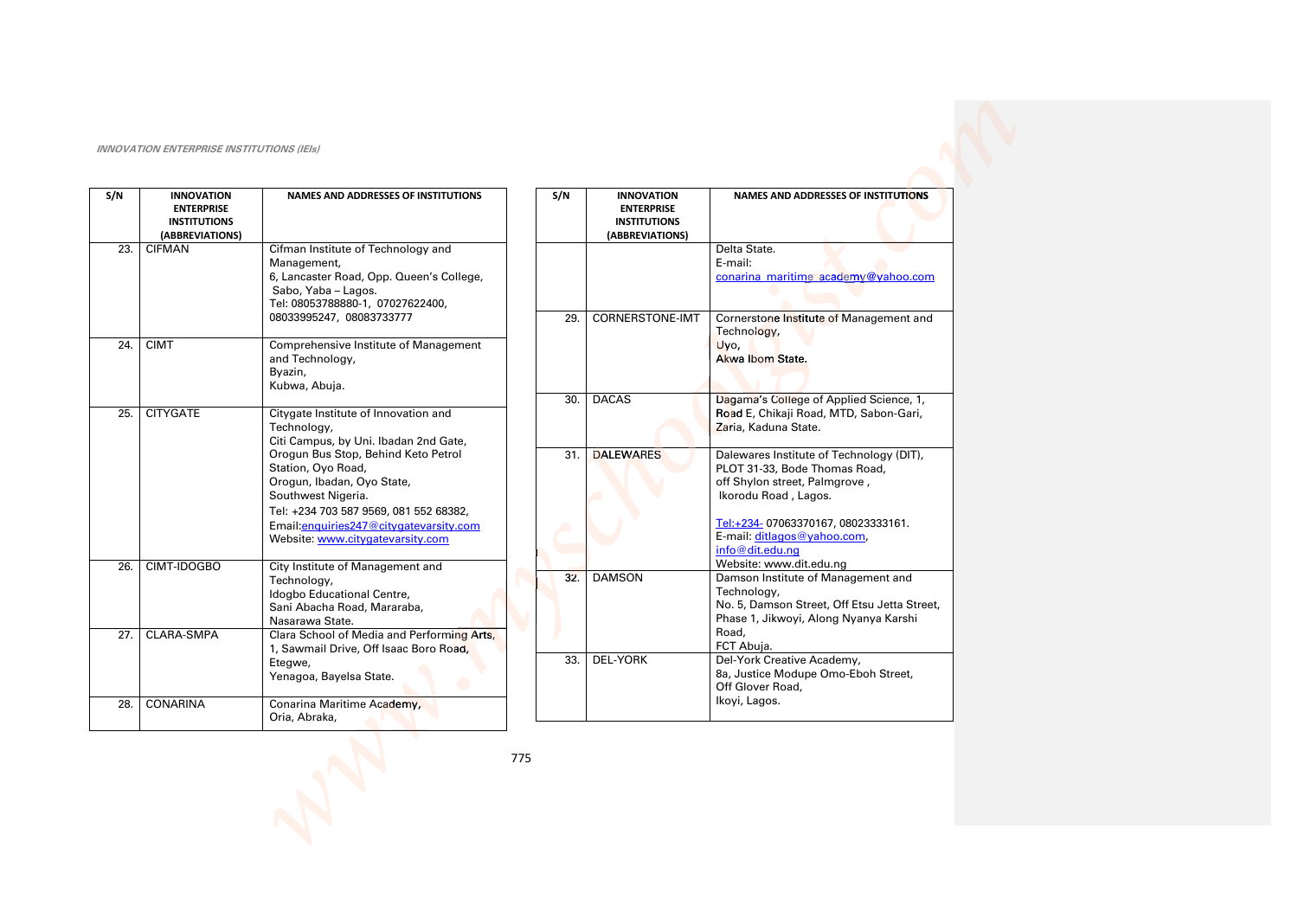| S/N        | <b>INNOVATION</b><br><b>ENTERPRISE</b><br><b>INSTITUTIONS</b><br>(ABBREVIATIONS) | <b>NAMES AND ADDRESSES OF INSTITUTIONS</b>                                                                                                                                                                                              |     | S/N | <b>INNOVATION</b><br><b>ENTERPRISE</b><br><b>INSTITUTIONS</b><br>(ABBREVIATIONS) | <b>NAMES AND ADDRESSES OF INSTITUTIONS</b>                                                                                                                                                                                |
|------------|----------------------------------------------------------------------------------|-----------------------------------------------------------------------------------------------------------------------------------------------------------------------------------------------------------------------------------------|-----|-----|----------------------------------------------------------------------------------|---------------------------------------------------------------------------------------------------------------------------------------------------------------------------------------------------------------------------|
| 23.        | <b>CIFMAN</b>                                                                    | Cifman Institute of Technology and<br>Management,<br>6, Lancaster Road, Opp. Queen's College,<br>Sabo, Yaba - Lagos.<br>Tel: 08053788880-1, 07027622400,                                                                                |     |     |                                                                                  | Delta State.<br>E-mail:<br>conarina maritime academy@yahoo.com                                                                                                                                                            |
| 24.        | <b>CIMT</b>                                                                      | 08033995247, 08083733777<br>Comprehensive Institute of Management<br>and Technology,<br>Byazin,<br>Kubwa, Abuja.                                                                                                                        |     | 29. | <b>CORNERSTONE-IMT</b>                                                           | Cornerstone Institute of Management and<br>Technology,<br>Uvo,<br>Akwa Ibom State.                                                                                                                                        |
| 25.        | <b>CITYGATE</b>                                                                  | Citygate Institute of Innovation and<br>Technology,<br>Citi Campus, by Uni. Ibadan 2nd Gate,                                                                                                                                            |     | 30. | <b>DACAS</b>                                                                     | Dagama's College of Applied Science, 1,<br>Road E, Chikaji Road, MTD, Sabon-Gari,<br>Zaria, Kaduna State.                                                                                                                 |
|            |                                                                                  | Orogun Bus Stop, Behind Keto Petrol<br>Station, Oyo Road,<br>Orogun, Ibadan, Oyo State,<br>Southwest Nigeria.<br>Tel: +234 703 587 9569, 081 552 68382,<br>Email: enquiries 247@citygatevarsity.com<br>Website: www.citygatevarsity.com |     | 31. | <b>DALEWARES</b>                                                                 | Dalewares Institute of Technology (DIT),<br>PLOT 31-33, Bode Thomas Road,<br>off Shylon street, Palmgrove,<br>Ikorodu Road, Lagos.<br>Tel:+234-07063370167,08023333161.<br>E-mail: ditlagos@yahoo.com,<br>info@dit.edu.na |
| 26.        | CIMT-IDOGBO                                                                      | City Institute of Management and<br>Technology,<br>Idogbo Educational Centre,<br>Sani Abacha Road, Mararaba,<br>Nasarawa State.                                                                                                         |     | 32. | <b>DAMSON</b>                                                                    | Website: www.dit.edu.ng<br>Damson Institute of Management and<br>Technology,<br>No. 5, Damson Street, Off Etsu Jetta Street,<br>Phase 1, Jikwoyi, Along Nyanya Karshi<br>Road,                                            |
| 27.<br>28. | <b>CLARA-SMPA</b><br><b>CONARINA</b>                                             | Clara School of Media and Performing Arts,<br>1, Sawmail Drive, Off Isaac Boro Road,<br>Etegwe,<br>Yenagoa, Bayelsa State.<br>Conarina Maritime Academy,                                                                                |     | 33. | <b>DEL-YORK</b>                                                                  | FCT Abuja.<br>Del-York Creative Academy,<br>8a, Justice Modupe Omo-Eboh Street,<br>Off Glover Road,<br>Ikoyi, Lagos.                                                                                                      |
|            |                                                                                  | Oria, Abraka,                                                                                                                                                                                                                           | 775 |     |                                                                                  |                                                                                                                                                                                                                           |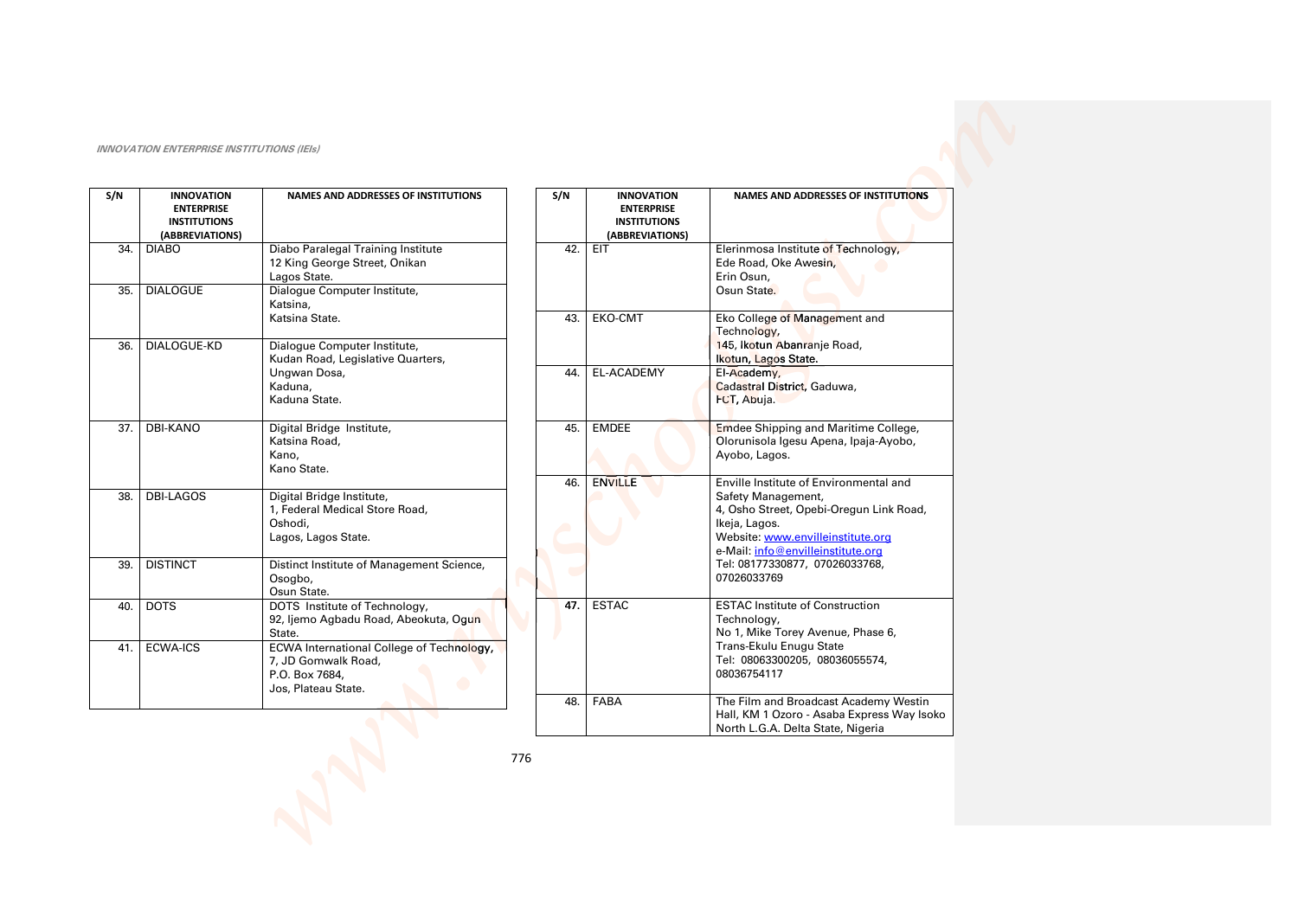| S/N | <b>INNOVATION</b><br><b>ENTERPRISE</b><br><b>INSTITUTIONS</b><br>(ABBREVIATIONS) | <b>NAMES AND ADDRESSES OF INSTITUTIONS</b>                                                                    |
|-----|----------------------------------------------------------------------------------|---------------------------------------------------------------------------------------------------------------|
| 34. | <b>DIABO</b>                                                                     | Diabo Paralegal Training Institute<br>12 King George Street, Onikan<br>Lagos State.                           |
| 35. | <b>DIALOGUE</b>                                                                  | Dialogue Computer Institute,<br>Katsina,<br>Katsina State.                                                    |
| 36. | DIALOGUE-KD                                                                      | Dialogue Computer Institute,<br>Kudan Road, Legislative Quarters,<br>Ungwan Dosa,<br>Kaduna,<br>Kaduna State. |
| 37. | <b>DBI-KANO</b>                                                                  | Digital Bridge Institute,<br>Katsina Road,<br>Kano,<br>Kano State.                                            |
| 38. | DBI-LAGOS                                                                        | Digital Bridge Institute,<br>1, Federal Medical Store Road,<br>Oshodi,<br>Lagos, Lagos State.                 |
| 39. | <b>DISTINCT</b>                                                                  | Distinct Institute of Management Science,<br>Osogbo,<br>Osun State.                                           |
| 40. | <b>DOTS</b>                                                                      | DOTS Institute of Technology,<br>92, ljemo Agbadu Road, Abeokuta, Ogun<br>State.                              |
| 41. | <b>ECWA-ICS</b>                                                                  | ECWA International College of Technology,<br>7, JD Gomwalk Road,<br>P.O. Box 7684,<br>Jos, Plateau State.     |

| S/N | <b>INNOVATION</b><br><b>ENTERPRISE</b><br><b>INSTITUTIONS</b><br>(ABBREVIATIONS) | <b>NAMES AND ADDRESSES OF INSTITUTIONS</b>                                                                                                                                                                                                          |
|-----|----------------------------------------------------------------------------------|-----------------------------------------------------------------------------------------------------------------------------------------------------------------------------------------------------------------------------------------------------|
| 42. | EIT                                                                              | Elerinmosa Institute of Technology,<br>Ede Road, Oke Awesin,<br>Erin Osun,<br>Osun State.                                                                                                                                                           |
| 43. | EKO-CMT                                                                          | Eko College of Management and<br>Technology,<br>145, Ikotun Abanranje Road,<br>Ikotun, Lagos State.                                                                                                                                                 |
| 44. | <b>EL-ACADEMY</b>                                                                | El-Academy,<br>Cadastral District, Gaduwa,<br>FCT, Abuja.                                                                                                                                                                                           |
| 45. | <b>EMDEE</b>                                                                     | <b>Emdee Shipping and Maritime College,</b><br>Olorunisola Igesu Apena, Ipaja-Ayobo,<br>Ayobo, Lagos.                                                                                                                                               |
| 46. | <b>ENVILLE</b>                                                                   | Enville Institute of Environmental and<br>Safety Management,<br>4, Osho Street, Opebi-Oregun Link Road,<br>Ikeja, Lagos.<br>Website: www.envilleinstitute.org<br>e-Mail: info@envilleinstitute.org<br>Tel: 08177330877, 07026033768,<br>07026033769 |
| 47. | <b>ESTAC</b>                                                                     | <b>ESTAC Institute of Construction</b><br>Technology,<br>No 1, Mike Torey Avenue, Phase 6,<br>Trans-Ekulu Enugu State<br>Tel: 08063300205, 08036055574,<br>08036754117                                                                              |
| 48. | <b>FABA</b>                                                                      | The Film and Broadcast Academy Westin<br>Hall, KM 1 Ozoro - Asaba Express Way Isoko<br>North L.G.A. Delta State, Nigeria                                                                                                                            |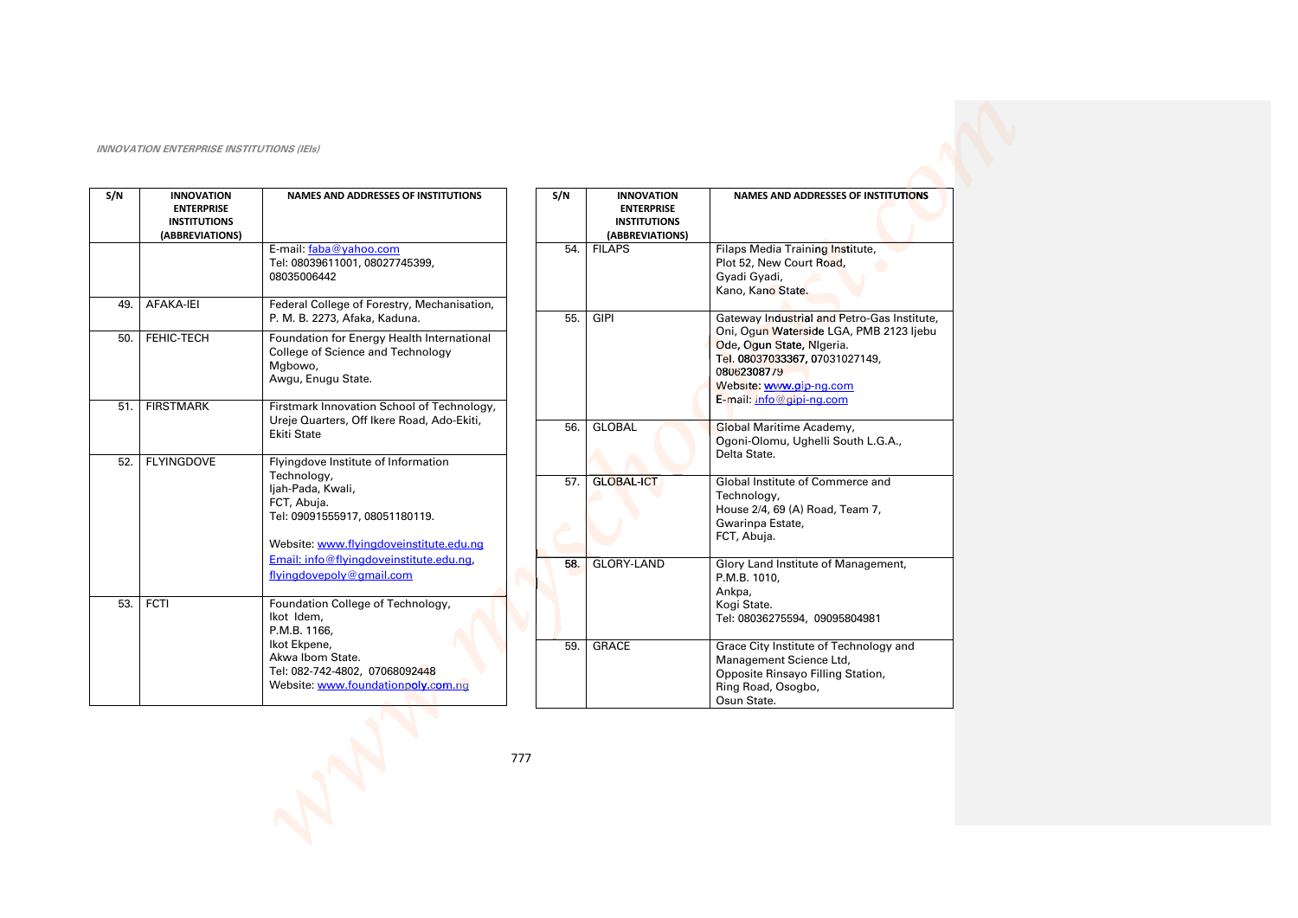| S/N | <b>INNOVATION</b><br><b>ENTERPRISE</b><br><b>INSTITUTIONS</b><br>(ABBREVIATIONS) | <b>NAMES AND ADDRESSES OF INSTITUTIONS</b>                                                                       | S/N | <b>INNOVATION</b><br><b>ENTERPRISE</b><br><b>INSTITUTIONS</b><br>(ABBREVIATIONS) | <b>NAMES AND ADDRESSES OF INSTITUTIONS</b>                                                                                                                                   |
|-----|----------------------------------------------------------------------------------|------------------------------------------------------------------------------------------------------------------|-----|----------------------------------------------------------------------------------|------------------------------------------------------------------------------------------------------------------------------------------------------------------------------|
|     |                                                                                  | E-mail: faba@yahoo.com<br>Tel: 08039611001, 08027745399,<br>08035006442                                          | 54. | <b>FILAPS</b>                                                                    | Filaps Media Training Institute,<br>Plot 52, New Court Road,<br>Gyadi Gyadi,<br>Kano, Kano State.                                                                            |
| 49. | AFAKA-IEI                                                                        | Federal College of Forestry, Mechanisation,<br>P. M. B. 2273, Afaka, Kaduna.                                     | 55. | <b>GIPI</b>                                                                      | Gateway Industrial and Petro-Gas Institute,                                                                                                                                  |
| 50. | FEHIC-TECH                                                                       | Foundation for Energy Health International<br>College of Science and Technology<br>Mgbowo,<br>Awgu, Enugu State. |     |                                                                                  | Oni, Ogun Waterside LGA, PMB 2123 ljebu<br>Ode, Ogun State, Nigeria.<br>Tel. 08037033367, 07031027149,<br>08062308779<br>Website: www.gip-ng.com<br>E-mail: info@gipi-ng.com |
| 51. | <b>FIRSTMARK</b>                                                                 | Firstmark Innovation School of Technology,<br>Ureje Quarters, Off Ikere Road, Ado-Ekiti,                         |     |                                                                                  |                                                                                                                                                                              |
|     |                                                                                  | <b>Ekiti State</b>                                                                                               | 56. | <b>GLOBAL</b>                                                                    | Global Maritime Academy,<br>Ogoni-Olomu, Ughelli South L.G.A.,<br>Delta State.                                                                                               |
| 52. | <b>FLYINGDOVE</b>                                                                | Flyingdove Institute of Information<br>Technology,                                                               |     |                                                                                  |                                                                                                                                                                              |
|     |                                                                                  | ljah-Pada, Kwali,<br>FCT, Abuja.<br>Tel: 09091555917, 08051180119.                                               | 57. | <b>GLOBAL-ICT</b>                                                                | Global Institute of Commerce and<br>Technology,<br>House 2/4, 69 (A) Road, Team 7,<br>Gwarinpa Estate,                                                                       |
|     |                                                                                  | Website: www.flyingdoveinstitute.edu.ng                                                                          |     |                                                                                  | FCT, Abuja.                                                                                                                                                                  |
|     |                                                                                  | Email: info@flvingdoveinstitute.edu.ng.<br>flyingdovepoly@gmail.com                                              | 58. | <b>GLORY-LAND</b>                                                                | Glory Land Institute of Management,<br>P.M.B. 1010,<br>Ankpa,                                                                                                                |
| 53. | <b>FCTI</b>                                                                      | Foundation College of Technology,<br>Ikot Idem,<br>P.M.B. 1166,                                                  |     |                                                                                  | Kogi State.<br>Tel: 08036275594, 09095804981                                                                                                                                 |
|     |                                                                                  | Ikot Ekpene,<br>Akwa Ibom State.<br>Tel: 082-742-4802, 07068092448<br>Website: www.foundationpoly.com.nq         | 59. | <b>GRACE</b>                                                                     | Grace City Institute of Technology and<br>Management Science Ltd,<br>Opposite Rinsayo Filling Station,<br>Ring Road, Osogbo,<br>Osun State.                                  |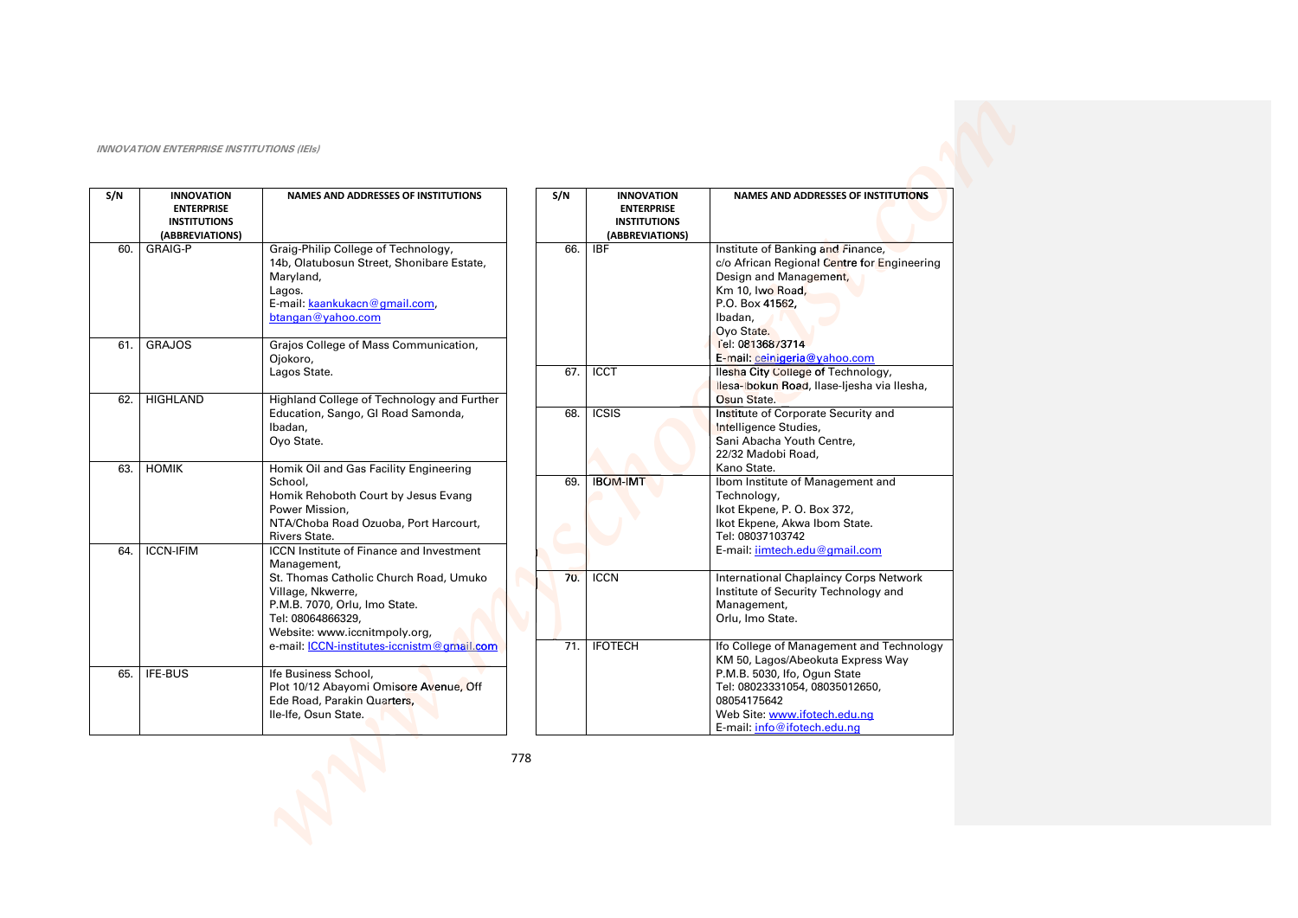| S/N | <b>INNOVATION</b><br><b>ENTERPRISE</b><br><b>INSTITUTIONS</b><br>(ABBREVIATIONS) | <b>NAMES AND ADDRESSES OF INSTITUTIONS</b>                                                                                                                                                                                                                         | S/N        | <b>INN</b><br><b>ENT</b><br><b>INST</b><br>(ABBRI |
|-----|----------------------------------------------------------------------------------|--------------------------------------------------------------------------------------------------------------------------------------------------------------------------------------------------------------------------------------------------------------------|------------|---------------------------------------------------|
| 60. | <b>GRAIG-P</b>                                                                   | Graig-Philip College of Technology,<br>14b, Olatubosun Street, Shonibare Estate,<br>Maryland,<br>Lagos.<br>E-mail: kaankukacn@gmail.com,<br>btangan@yahoo.com                                                                                                      | 66.        | <b>IBF</b>                                        |
| 61. | <b>GRAJOS</b>                                                                    | Grajos College of Mass Communication,<br>Ojokoro,<br>Lagos State.                                                                                                                                                                                                  | 67.        | <b>ICCT</b>                                       |
| 62. | <b>HIGHLAND</b>                                                                  | Highland College of Technology and Further<br>Education, Sango, GI Road Samonda,<br>Ibadan,<br>Ovo State.                                                                                                                                                          | 68.        | <b>ICSIS</b>                                      |
| 63. | <b>HOMIK</b>                                                                     | Homik Oil and Gas Facility Engineering<br>School,<br>Homik Rehoboth Court by Jesus Evang<br>Power Mission,<br>NTA/Choba Road Ozuoba, Port Harcourt,<br><b>Rivers State.</b>                                                                                        | 69.        | <b>IBOM-IM</b>                                    |
| 64. | <b>ICCN-IFIM</b>                                                                 | <b>ICCN Institute of Finance and Investment</b><br>Management,<br>St. Thomas Catholic Church Road, Umuko<br>Village, Nkwerre,<br>P.M.B. 7070, Orlu, Imo State.<br>Tel: 08064866329,<br>Website: www.iccnitmpoly.org,<br>e-mail: ICCN-institutes-iccnistm@gmail.com | 70.<br>71. | <b>ICCN</b><br><b>IFOTECH</b>                     |
| 65. | IFE-BUS                                                                          | Ife Business School,<br>Plot 10/12 Abayomi Omisore Avenue, Off<br>Ede Road, Parakin Quarters,<br>Ile-Ife, Osun State.                                                                                                                                              |            |                                                   |

| S/N | <b>INNOVATION</b>   | <b>NAMES AND ADDRESSES OF INSTITUTIONS</b>    |
|-----|---------------------|-----------------------------------------------|
|     | <b>ENTERPRISE</b>   |                                               |
|     | <b>INSTITUTIONS</b> |                                               |
|     | (ABBREVIATIONS)     |                                               |
| 66. | IBF                 | Institute of Banking and Finance,             |
|     |                     | c/o African Regional Centre for Engineering   |
|     |                     | Design and Management,                        |
|     |                     | Km 10, Iwo Road,                              |
|     |                     | P.O. Box 41562,                               |
|     |                     | Ibadan,                                       |
|     |                     | Ovo State.                                    |
|     |                     | Tel: 08136873714                              |
|     |                     | E-mail: ceinigeria@yahoo.com                  |
| 67. | <b>ICCT</b>         | llesha City College of Technology,            |
|     |                     | Ilesa-Ibokun Road, Ilase-Ijesha via Ilesha,   |
|     |                     | Osun State.                                   |
| 68. | <b>ICSIS</b>        | Institute of Corporate Security and           |
|     |                     | Intelligence Studies,                         |
|     |                     | Sani Abacha Youth Centre,                     |
|     |                     | 22/32 Madobi Road,                            |
|     |                     | Kano State.                                   |
| 69. | <b>IBOM-IMT</b>     | Ibom Institute of Management and              |
|     |                     | Technology,                                   |
|     |                     | Ikot Ekpene, P. O. Box 372,                   |
|     |                     | Ikot Ekpene, Akwa Ibom State.                 |
|     |                     | Tel: 08037103742                              |
|     |                     | E-mail: iimtech.edu@gmail.com                 |
|     |                     |                                               |
| 70. | <b>ICCN</b>         | <b>International Chaplaincy Corps Network</b> |
|     |                     | Institute of Security Technology and          |
|     |                     | Management,                                   |
|     |                     | Orlu, Imo State.                              |
|     |                     |                                               |
| 71. | <b>IFOTECH</b>      | Ifo College of Management and Technology      |
|     |                     | KM 50, Lagos/Abeokuta Express Way             |
|     |                     | P.M.B. 5030, Ifo, Ogun State                  |
|     |                     | Tel: 08023331054, 08035012650,                |
|     |                     | 08054175642                                   |
|     |                     | Web Site: www.ifotech.edu.ng                  |
|     |                     | E-mail: info@ifotech.edu.ng                   |
|     |                     |                                               |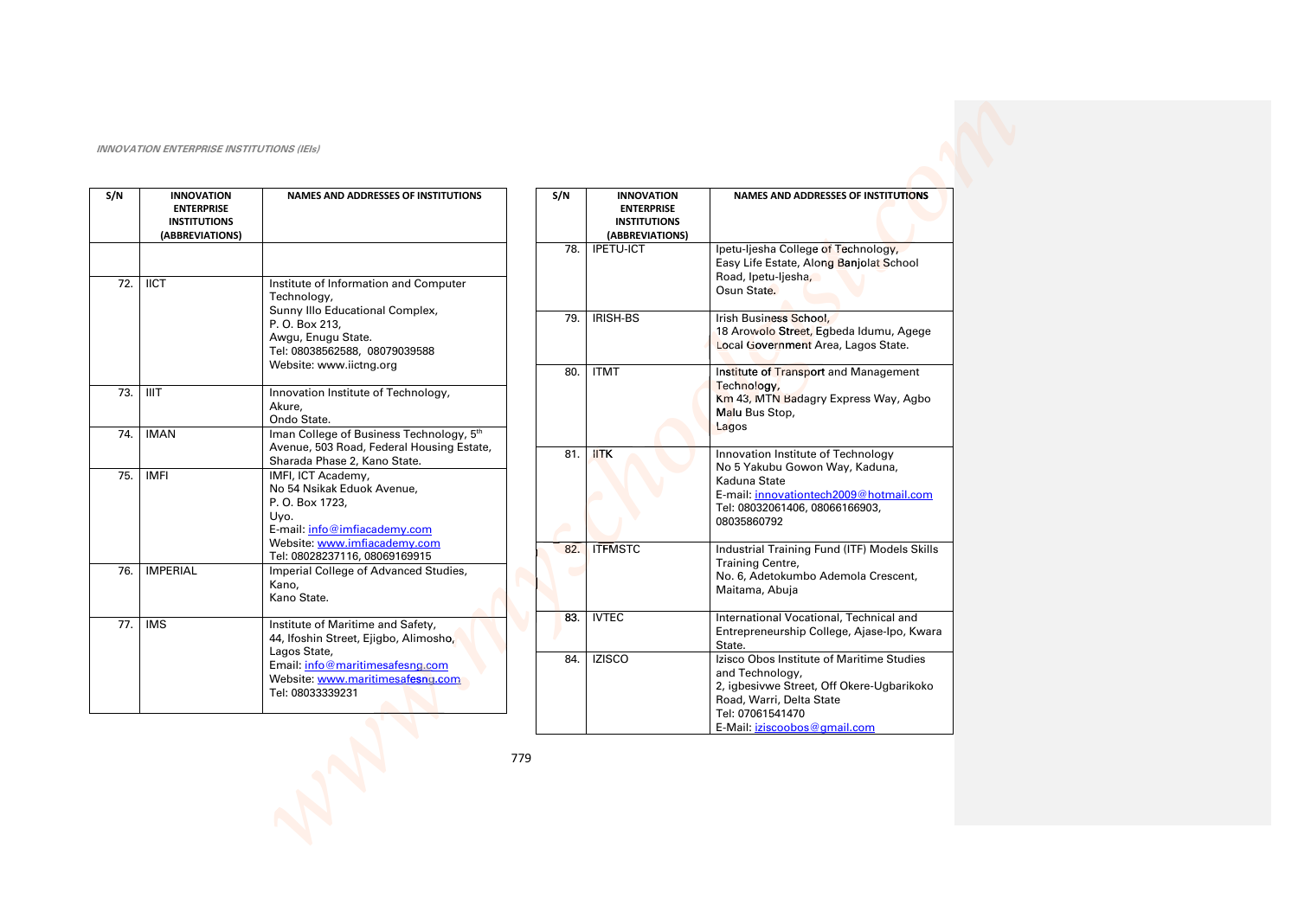| S/N | <b>INNOVATION</b><br><b>ENTERPRISE</b><br><b>INSTITUTIONS</b><br>(ABBREVIATIONS) | <b>NAMES AND ADDRESSES OF INSTITUTIONS</b>                                                                                                                                                  |
|-----|----------------------------------------------------------------------------------|---------------------------------------------------------------------------------------------------------------------------------------------------------------------------------------------|
|     |                                                                                  |                                                                                                                                                                                             |
| 72. | <b>IICT</b>                                                                      | Institute of Information and Computer<br>Technology,<br>Sunny Illo Educational Complex,<br>P. O. Box 213,<br>Awgu, Enugu State.<br>Tel: 08038562588, 08079039588<br>Website: www.iictng.org |
| 73. | <b>IIIT</b>                                                                      | Innovation Institute of Technology,<br>Akure.<br>Ondo State.                                                                                                                                |
| 74. | <b>IMAN</b>                                                                      | Iman College of Business Technology, 5th<br>Avenue, 503 Road, Federal Housing Estate,<br>Sharada Phase 2, Kano State.                                                                       |
| 75. | <b>IMFI</b>                                                                      | IMFI, ICT Academy,<br>No 54 Nsikak Eduok Avenue,<br>P. O. Box 1723,<br>Uyo.<br>E-mail: info@imfiacademy.com<br>Website: www.imfiacademy.com<br>Tel: 08028237116, 08069169915                |
| 76. | <b>IMPERIAL</b>                                                                  | Imperial College of Advanced Studies,<br>Kano,<br>Kano State.                                                                                                                               |
| 77. | <b>IMS</b>                                                                       | Institute of Maritime and Safety,<br>44, Ifoshin Street, Ejigbo, Alimosho,<br>Lagos State,<br>Email: info@maritimesafesng.com<br>Website: www.maritimesafesnq.com<br>Tel: 08033339231       |

| S/N | <b>INNOVATION</b><br><b>ENTERPRISE</b><br><b>INSTITUTIONS</b><br>(ABBREVIATIONS) | <b>NAMES AND ADDRESSES OF INSTITUTIONS</b>                                                                                                                                                |
|-----|----------------------------------------------------------------------------------|-------------------------------------------------------------------------------------------------------------------------------------------------------------------------------------------|
| 78. | <b>IPETU-ICT</b>                                                                 | Ipetu-liesha College of Technology,<br>Easy Life Estate, Along Banjolat School<br>Road, Ipetu-liesha,<br>Osun State.                                                                      |
| 79. | <b>IRISH-BS</b>                                                                  | Irish Business School,<br>18 Arowolo Street, Egbeda Idumu, Agege<br>Local Government Area, Lagos State.                                                                                   |
| 80. | <b>ITMT</b>                                                                      | Institute of Transport and Management<br>Technology,<br>Km 43, MTN Badagry Express Way, Agbo<br>Malu Bus Stop,<br>Lagos                                                                   |
| 81. | <b>IITK</b>                                                                      | Innovation Institute of Technology<br>No 5 Yakubu Gowon Way, Kaduna,<br>Kaduna State<br>E-mail: innovationtech2009@hotmail.com<br>Tel: 08032061406, 08066166903,<br>08035860792           |
| 82. | <b>ITFMSTC</b>                                                                   | Industrial Training Fund (ITF) Models Skills<br>Training Centre,<br>No. 6, Adetokumbo Ademola Crescent,<br>Maitama, Abuja                                                                 |
| 83. | <b>IVTEC</b>                                                                     | International Vocational, Technical and<br>Entrepreneurship College, Ajase-Ipo, Kwara<br>State.                                                                                           |
| 84. | <b>IZISCO</b>                                                                    | Izisco Obos Institute of Maritime Studies<br>and Technology,<br>2, igbesivwe Street, Off Okere-Ugbarikoko<br>Road, Warri, Delta State<br>Tel: 07061541470<br>E-Mail: iziscoobos@gmail.com |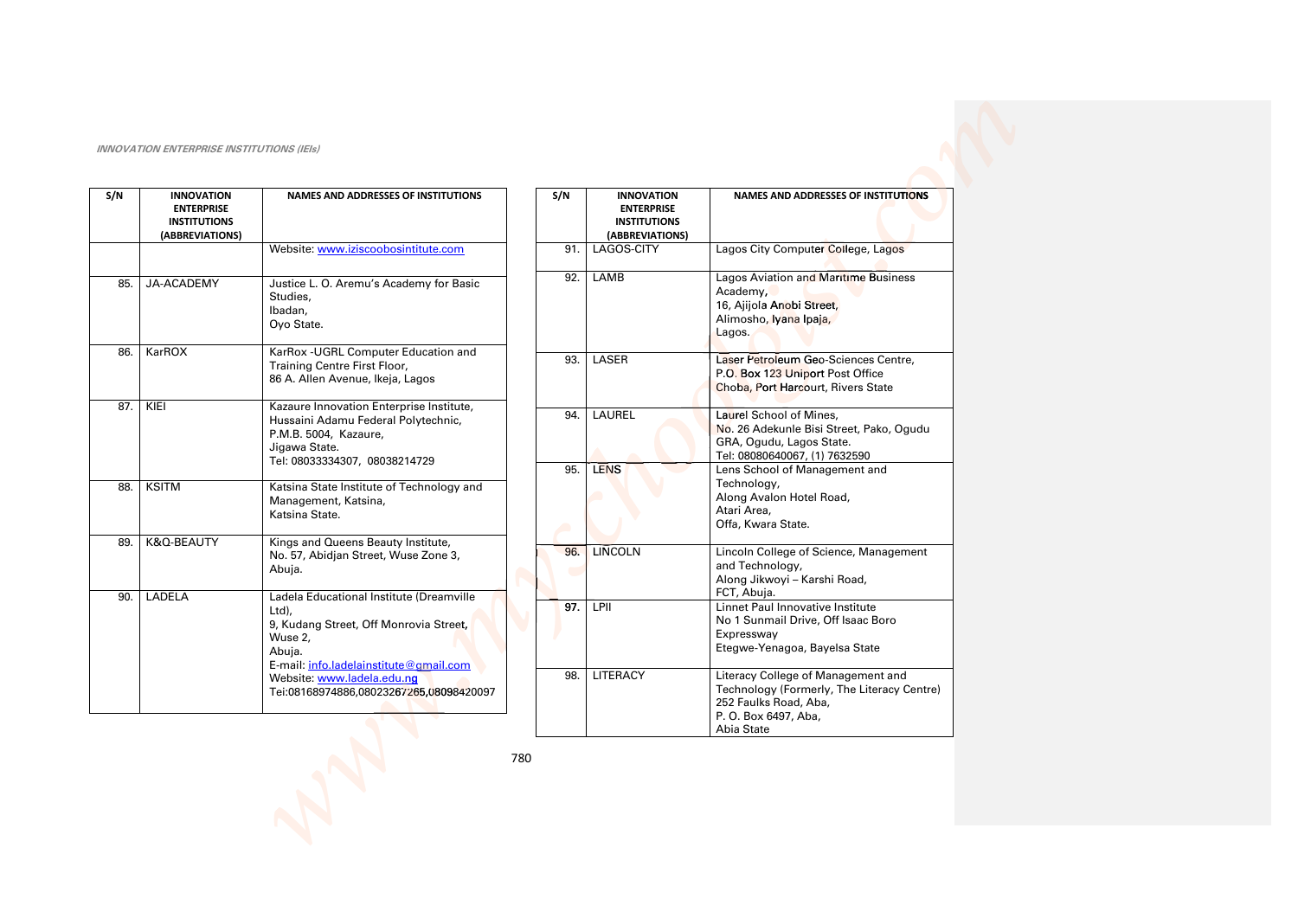| S/N | <b>INNOVATION</b><br><b>ENTERPRISE</b><br><b>INSTITUTIONS</b><br>(ABBREVIATIONS) | <b>NAMES AND ADDRESSES OF INSTITUTIONS</b>                                                                                                                                                                                          |  |
|-----|----------------------------------------------------------------------------------|-------------------------------------------------------------------------------------------------------------------------------------------------------------------------------------------------------------------------------------|--|
|     |                                                                                  | Website: www.iziscoobosintitute.com                                                                                                                                                                                                 |  |
| 85. | JA-ACADEMY                                                                       | Justice L. O. Aremu's Academy for Basic<br>Studies.<br>Ibadan,<br>Oyo State.                                                                                                                                                        |  |
| 86. | KarROX                                                                           | KarRox - UGRL Computer Education and<br>Training Centre First Floor,<br>86 A. Allen Avenue, Ikeja, Lagos                                                                                                                            |  |
| 87. | KIEI                                                                             | Kazaure Innovation Enterprise Institute,<br>Hussaini Adamu Federal Polytechnic,<br>P.M.B. 5004, Kazaure,<br>Jigawa State.<br>Tel: 08033334307, 08038214729                                                                          |  |
| 88. | <b>KSITM</b>                                                                     | Katsina State Institute of Technology and<br>Management, Katsina,<br>Katsina State.                                                                                                                                                 |  |
| 89. | K&O-BEAUTY                                                                       | Kings and Queens Beauty Institute,<br>No. 57, Abidjan Street, Wuse Zone 3,<br>Abuja.                                                                                                                                                |  |
| 90. | LADELA                                                                           | Ladela Educational Institute (Dreamville<br>Ltd),<br>9, Kudang Street, Off Monrovia Street,<br>Wuse 2.<br>Abuja.<br>E-mail: info.ladelainstitute@gmail.com<br>Website: www.ladela.edu.ng<br>Tei:08168974886,08023267265,08098420097 |  |

| S/N |     | <b>INNOVATION</b><br><b>ENTERPRISE</b><br><b>INSTITUTIONS</b><br>(ABBREVIATIONS) | <b>NAMES AND ADDRESSES OF INSTITUTIONS</b>                                                                                                      |
|-----|-----|----------------------------------------------------------------------------------|-------------------------------------------------------------------------------------------------------------------------------------------------|
|     | 91. | LAGOS-CITY                                                                       | Lagos City Computer College, Lagos                                                                                                              |
|     | 92. | LAMB                                                                             | Lagos Aviation and Maritime Business<br>Academy,<br>16, Ajijola Anobi Street,<br>Alimosho, Iyana Ipaja,<br>Lagos.                               |
|     | 93. | LASER                                                                            | Laser Petroleum Geo-Sciences Centre,<br>P.O. Box 123 Uniport Post Office<br>Choba, Port Harcourt, Rivers State                                  |
|     | 94. | LAUREL                                                                           | Laurel School of Mines,<br>No. 26 Adekunle Bisi Street, Pako, Ogudu<br>GRA, Ogudu, Lagos State.<br>Tel: 08080640067, (1) 7632590                |
|     | 95. | <b>LENS</b>                                                                      | Lens School of Management and<br>Technology,<br>Along Avalon Hotel Road,<br>Atari Area,<br>Offa, Kwara State.                                   |
|     | 96. | <b>LINCOLN</b>                                                                   | Lincoln College of Science, Management<br>and Technology,<br>Along Jikwoyi - Karshi Road,<br>FCT, Abuja.                                        |
|     | 97. | LPII                                                                             | Linnet Paul Innovative Institute<br>No 1 Sunmail Drive, Off Isaac Boro<br>Expressway<br>Etegwe-Yenagoa, Bayelsa State                           |
|     | 98. | <b>LITERACY</b>                                                                  | Literacy College of Management and<br>Technology (Formerly, The Literacy Centre)<br>252 Faulks Road, Aba,<br>P. O. Box 6497, Aba,<br>Abia State |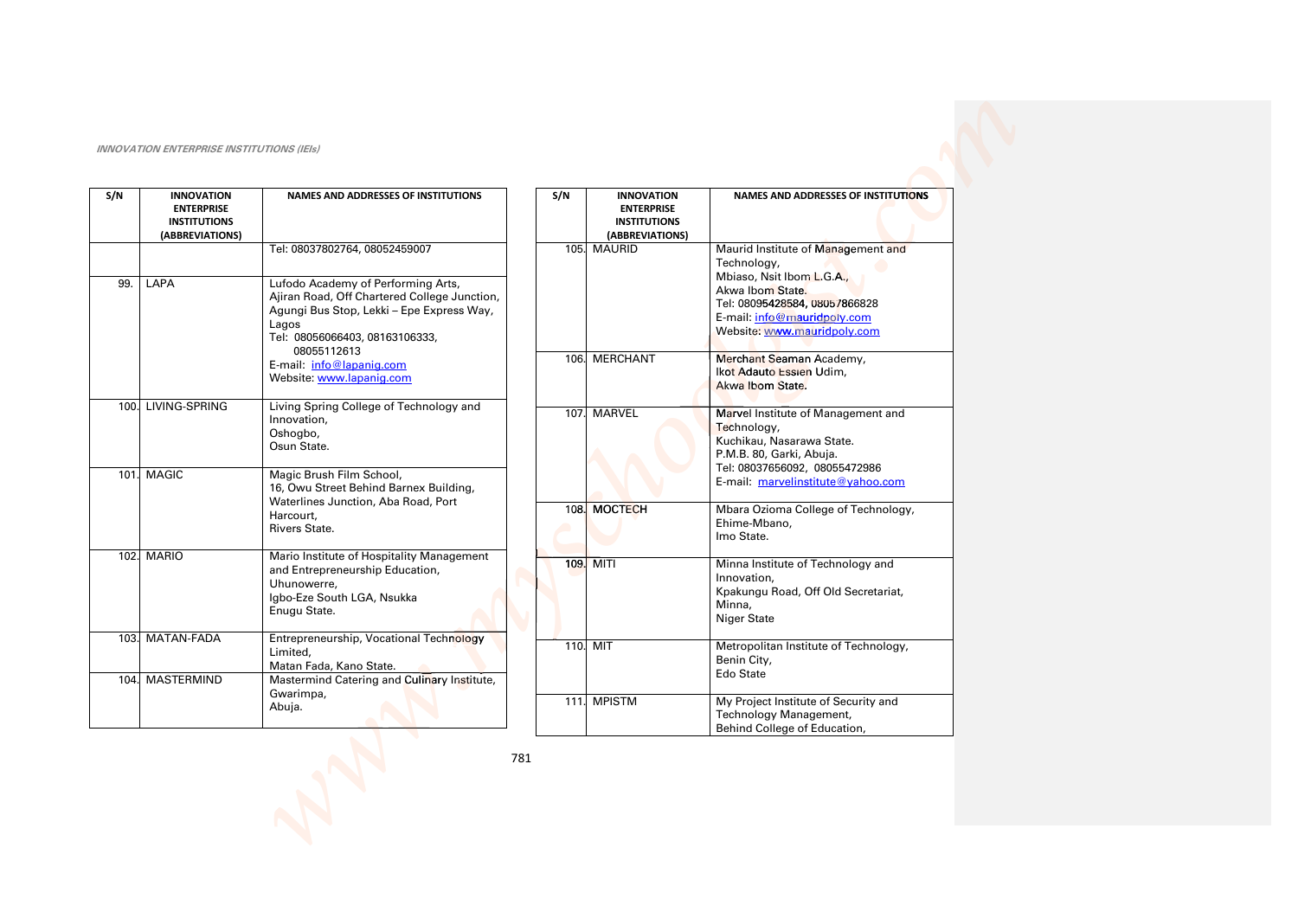| S/N  | <b>INNOVATION</b><br><b>ENTERPRISE</b><br><b>INSTITUTIONS</b><br>(ABBREVIATIONS) | <b>NAMES AND ADDRESSES OF INSTITUTIONS</b>                                                                                                                                                                                                        |
|------|----------------------------------------------------------------------------------|---------------------------------------------------------------------------------------------------------------------------------------------------------------------------------------------------------------------------------------------------|
|      |                                                                                  | Tel: 08037802764, 08052459007                                                                                                                                                                                                                     |
| 99.  | LAPA                                                                             | Lufodo Academy of Performing Arts,<br>Ajiran Road, Off Chartered College Junction,<br>Agungi Bus Stop, Lekki - Epe Express Way,<br>Lagos<br>Tel: 08056066403, 08163106333,<br>08055112613<br>E-mail: info@lapanig.com<br>Website: www.lapanig.com |
|      | 100. LIVING-SPRING                                                               | Living Spring College of Technology and<br>Innovation,<br>Oshogbo,<br>Osun State.                                                                                                                                                                 |
| 101. | <b>MAGIC</b>                                                                     | Magic Brush Film School,<br>16, Owu Street Behind Barnex Building,<br>Waterlines Junction, Aba Road, Port<br>Harcourt.<br>Rivers State.                                                                                                           |
| 102. | <b>MARIO</b>                                                                     | Mario Institute of Hospitality Management<br>and Entrepreneurship Education,<br>Uhunowerre,<br>Igbo-Eze South LGA, Nsukka<br>Enugu State.                                                                                                         |
|      | 103. MATAN-FADA                                                                  | Entrepreneurship, Vocational Technology<br>Limited.<br>Matan Fada, Kano State.                                                                                                                                                                    |
| 104. | MASTERMIND                                                                       | Mastermind Catering and Culinary Institute,<br>Gwarimpa,<br>Abuja.                                                                                                                                                                                |

| S/N  | <b>INNOVATION</b><br><b>ENTERPRISE</b><br><b>INSTITUTIONS</b><br>(ABBREVIATIONS) | <b>NAMES AND ADDRESSES OF INSTITUTIONS</b>                                                                                                                                                        |
|------|----------------------------------------------------------------------------------|---------------------------------------------------------------------------------------------------------------------------------------------------------------------------------------------------|
| 105. | <b>MAURID</b>                                                                    | Maurid Institute of Management and<br>Technology,<br>Mbiaso, Nsit Ibom L.G.A.,<br>Akwa Ibom State.<br>Tel: 08095428584, 08057866828<br>E-mail: info@mauridpoly.com<br>Website: www.mauridpoly.com |
| 106. | <b>MERCHANT</b>                                                                  | Merchant Seaman Academy,<br>Ikot Adauto Essien Udim,<br>Akwa Ibom State.                                                                                                                          |
| 107. | <b>MARVEL</b>                                                                    | Marvel Institute of Management and<br>Technology,<br>Kuchikau, Nasarawa State.<br>P.M.B. 80, Garki, Abuja.<br>Tel: 08037656092, 08055472986<br>E-mail: marvelinstitute@yahoo.com                  |
| 108. | <b>MOCTECH</b>                                                                   | Mbara Ozioma College of Technology,<br>Ehime-Mbano,<br>Imo State.                                                                                                                                 |
| 109. | <b>MITI</b>                                                                      | Minna Institute of Technology and<br>Innovation.<br>Kpakungu Road, Off Old Secretariat,<br>Minna,<br><b>Niger State</b>                                                                           |
| 110. | <b>MIT</b>                                                                       | Metropolitan Institute of Technology,<br>Benin City,<br>Edo State                                                                                                                                 |
| 111. | <b>MPISTM</b>                                                                    | My Project Institute of Security and<br>Technology Management,<br>Behind College of Education,                                                                                                    |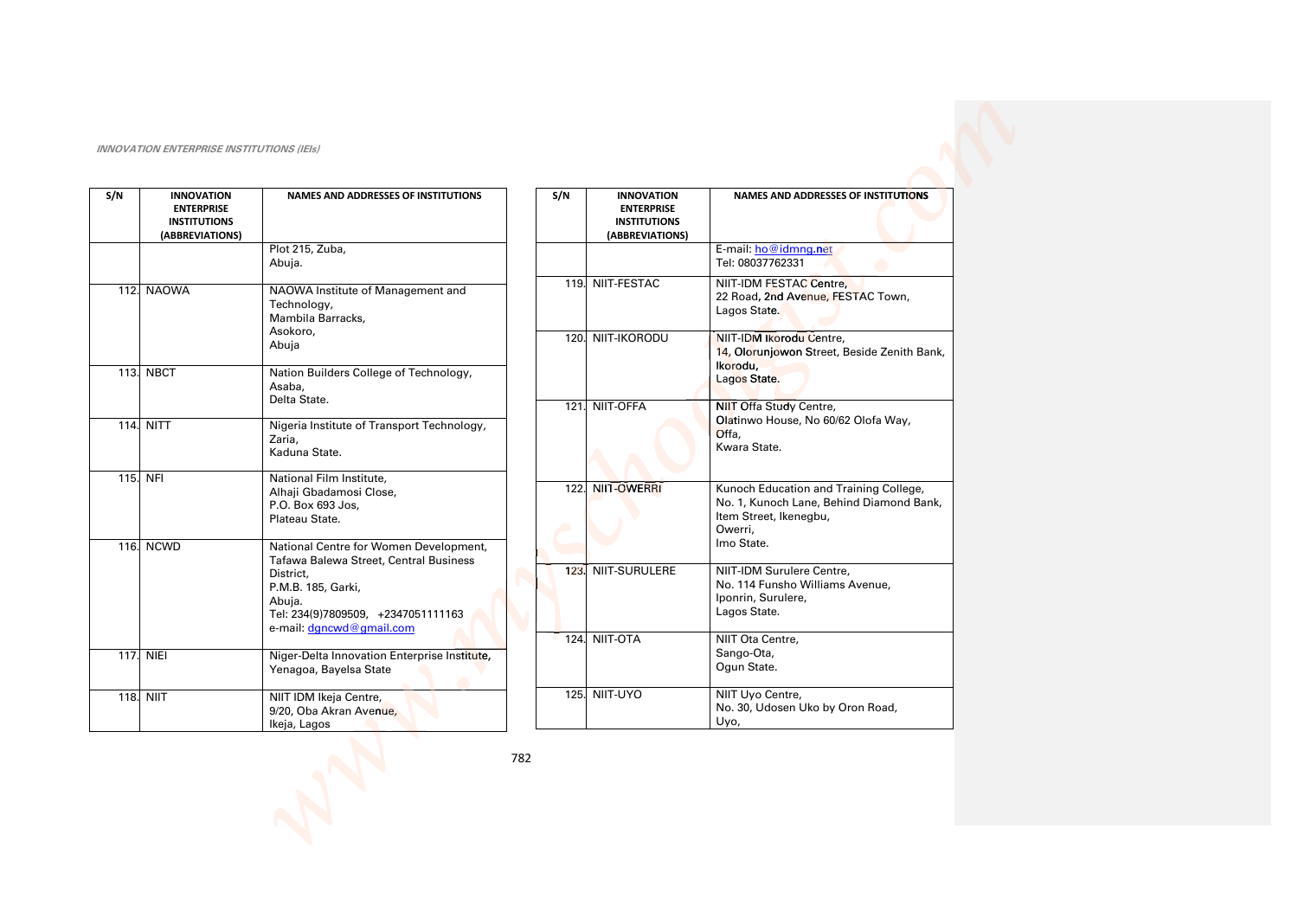| S/N | <b>INNOVATION</b><br><b>ENTERPRISE</b><br><b>INSTITUTIONS</b><br>(ABBREVIATIONS) | <b>NAMES AND ADDRESSES OF INSTITUTIONS</b>                                                                  | S/N  | <b>INNOVATION</b><br><b>ENTERPRISE</b><br><b>INSTITUTIONS</b><br>(ABBREVIATIONS) | <b>NAMES AND ADDRESSES OF INSTITUTIONS</b>                                                                              |
|-----|----------------------------------------------------------------------------------|-------------------------------------------------------------------------------------------------------------|------|----------------------------------------------------------------------------------|-------------------------------------------------------------------------------------------------------------------------|
|     |                                                                                  | Plot 215, Zuba,<br>Abuja.                                                                                   |      |                                                                                  | E-mail: ho@idmng.net<br>Tel: 08037762331                                                                                |
|     | 112. NAOWA                                                                       | NAOWA Institute of Management and<br>Technology,<br>Mambila Barracks,                                       |      | 119. NIIT-FESTAC                                                                 | NIIT-IDM FESTAC Centre,<br>22 Road, 2nd Avenue, FESTAC Town,<br>Lagos State.                                            |
|     |                                                                                  | Asokoro,<br>Abuja                                                                                           |      | 120. NIIT-IKORODU                                                                | NIIT-IDM Ikorodu Centre,<br>14, Olorunjowon Street, Beside Zenith Bank,<br>Ikorodu,                                     |
|     | <b>113. NBCT</b>                                                                 | Nation Builders College of Technology,<br>Asaba,<br>Delta State.                                            |      |                                                                                  | Lagos State.                                                                                                            |
|     | <b>114. NITT</b>                                                                 | Nigeria Institute of Transport Technology,<br>Zaria.<br>Kaduna State.                                       | 121. | NIIT-OFFA                                                                        | <b>NIIT Offa Study Centre,</b><br>Olatinwo House, No 60/62 Olofa Way,<br>Offa,<br>Kwara State.                          |
|     | 115. NFI                                                                         | National Film Institute,<br>Alhaji Gbadamosi Close,<br>P.O. Box 693 Jos,<br>Plateau State.                  | 122. | NIIT-OWERRI                                                                      | Kunoch Education and Training College,<br>No. 1, Kunoch Lane, Behind Diamond Bank,<br>Item Street, Ikenegbu,<br>Owerri, |
|     | 116. NCWD                                                                        | National Centre for Women Development,<br>Tafawa Balewa Street, Central Business                            |      |                                                                                  | Imo State.                                                                                                              |
|     |                                                                                  | District,<br>P.M.B. 185, Garki,<br>Abuja.<br>Tel: 234(9)7809509, +2347051111163<br>e-mail: dgncwd@gmail.com | 123. | NIIT-SURULERE                                                                    | NIIT-IDM Surulere Centre.<br>No. 114 Funsho Williams Avenue,<br>Iponrin, Surulere,<br>Lagos State.                      |
|     | <b>117. NIEI</b>                                                                 | Niger-Delta Innovation Enterprise Institute,<br>Yenagoa, Bayelsa State                                      | 124. | NIIT-OTA                                                                         | NIIT Ota Centre,<br>Sango-Ota,<br>Ogun State.                                                                           |
|     | <b>118. NIIT</b>                                                                 | NIIT IDM Ikeja Centre,<br>9/20, Oba Akran Avenue,<br>Ikeja, Lagos                                           |      | <b>125. NIIT-UYO</b>                                                             | NIIT Uyo Centre,<br>No. 30, Udosen Uko by Oron Road,<br>Uyo,                                                            |
|     |                                                                                  |                                                                                                             | 782  |                                                                                  |                                                                                                                         |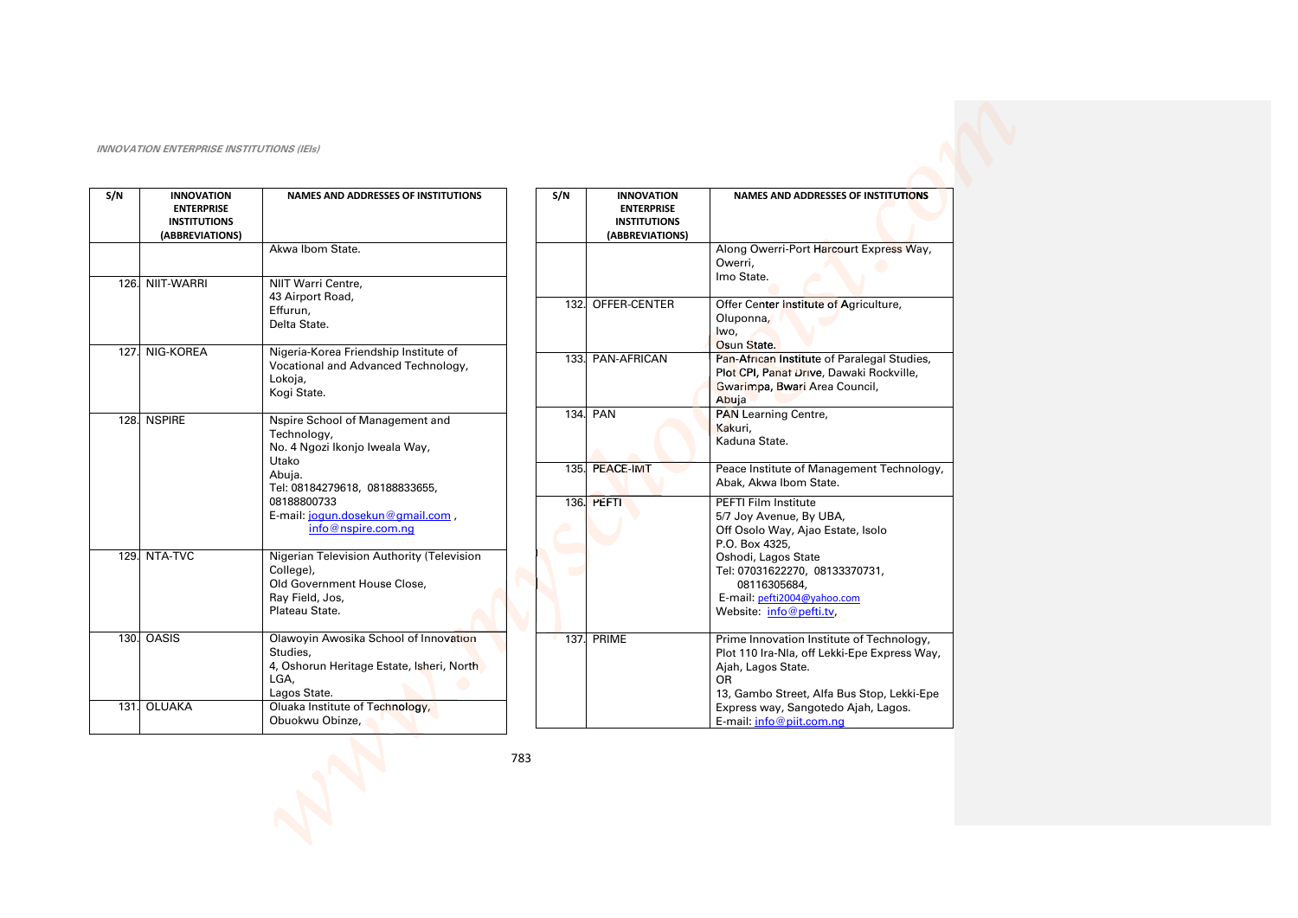| S/N  | <b>INNOVATION</b><br><b>ENTERPRISE</b><br><b>INSTITUTIONS</b><br>(ABBREVIATIONS) | NAMES AND ADDRESSES OF INSTITUTIONS                                                                                        |     | S/N | <b>INNOVATION</b><br><b>ENTERPRISE</b><br><b>INSTITUTIONS</b><br>(ABBREVIATIONS) | NAMES AND ADDRESSES OF INSTITUTIONS                                                                                                                                 |
|------|----------------------------------------------------------------------------------|----------------------------------------------------------------------------------------------------------------------------|-----|-----|----------------------------------------------------------------------------------|---------------------------------------------------------------------------------------------------------------------------------------------------------------------|
|      |                                                                                  | Akwa Ibom State.                                                                                                           |     |     |                                                                                  | Along Owerri-Port Harcourt Express Way,<br>Owerri,<br>Imo State.                                                                                                    |
|      | 126. NIIT-WARRI                                                                  | NIIT Warri Centre,<br>43 Airport Road,<br>Effurun,<br>Delta State.                                                         |     |     | 132. OFFER-CENTER                                                                | Offer Center Institute of Agriculture,<br>Oluponna,<br>lwo,                                                                                                         |
| 127. | NIG-KOREA                                                                        | Nigeria-Korea Friendship Institute of<br>Vocational and Advanced Technology,<br>Lokoja,<br>Kogi State.                     |     |     | 133. PAN-AFRICAN                                                                 | Osun State.<br>Pan-African Institute of Paralegal Studies,<br>Plot CPI, Panaf Drive, Dawaki Rockville,<br>Gwarimpa, Bwari Area Council,<br>Abuja                    |
|      | 128. NSPIRE                                                                      | Nspire School of Management and<br>Technology,<br>No. 4 Ngozi Ikonjo Iweala Way,                                           |     |     | 134. PAN                                                                         | <b>PAN Learning Centre,</b><br>Kakuri,<br>Kaduna State.                                                                                                             |
|      |                                                                                  | Utako<br>Abuja.<br>Tel: 08184279618, 08188833655,                                                                          |     |     | 135. PEACE-IMT                                                                   | Peace Institute of Management Technology,<br>Abak, Akwa Ibom State.                                                                                                 |
|      |                                                                                  | 08188800733<br>E-mail: jogun.dosekun@gmail.com,<br>info@nspire.com.nq                                                      |     |     | 136. PEFTI                                                                       | PEFTI Film Institute<br>5/7 Joy Avenue, By UBA,<br>Off Osolo Way, Ajao Estate, Isolo<br>P.O. Box 4325,                                                              |
| 129. | NTA-TVC                                                                          | Nigerian Television Authority (Television<br>College),<br>Old Government House Close,<br>Ray Field, Jos,<br>Plateau State. |     |     |                                                                                  | Oshodi, Lagos State<br>Tel: 07031622270, 08133370731,<br>08116305684,<br>E-mail: pefti2004@yahoo.com<br>Website: info@pefti.tv,                                     |
| 130. | <b>OASIS</b>                                                                     | Olawoyin Awosika School of Innovation<br>Studies,<br>4, Oshorun Heritage Estate, Isheri, North<br>LGA.<br>Lagos State.     |     |     | <b>137. PRIME</b>                                                                | Prime Innovation Institute of Technology,<br>Plot 110 Ira-Nla, off Lekki-Epe Express Way,<br>Ajah, Lagos State.<br>OR<br>13, Gambo Street, Alfa Bus Stop, Lekki-Epe |
| 131. | <b>OLUAKA</b>                                                                    | Oluaka Institute of Technology,<br>Obuokwu Obinze,                                                                         |     |     |                                                                                  | Express way, Sangotedo Ajah, Lagos.<br>E-mail: info@piit.com.nq                                                                                                     |
|      |                                                                                  |                                                                                                                            | 783 |     |                                                                                  |                                                                                                                                                                     |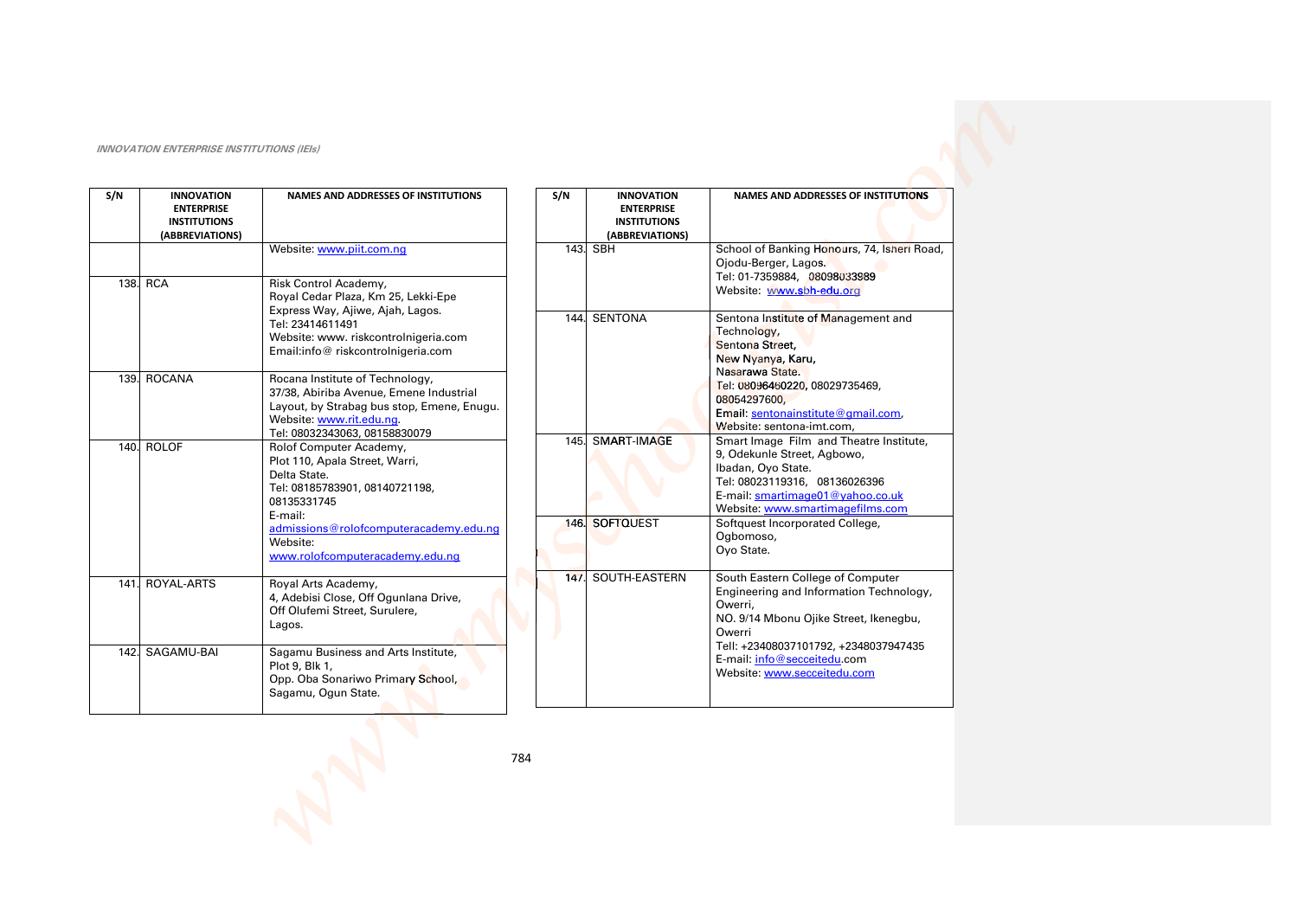| S/N  | <b>INNOVATION</b><br><b>ENTERPRISE</b><br><b>INSTITUTIONS</b><br>(ABBREVIATIONS) | <b>NAMES AND ADDRESSES OF INSTITUTIONS</b>                                                                                                                                                                                     |     |
|------|----------------------------------------------------------------------------------|--------------------------------------------------------------------------------------------------------------------------------------------------------------------------------------------------------------------------------|-----|
|      |                                                                                  | Website: www.piit.com.nq                                                                                                                                                                                                       |     |
|      | 138. RCA                                                                         | Risk Control Academy,<br>Royal Cedar Plaza, Km 25, Lekki-Epe<br>Express Way, Ajiwe, Ajah, Lagos.<br>Tel: 23414611491<br>Website: www. riskcontrolnigeria.com<br>Email:info@riskcontrolnigeria.com                              |     |
| 139. | <b>ROCANA</b>                                                                    | Rocana Institute of Technology,<br>37/38, Abiriba Avenue, Emene Industrial<br>Layout, by Strabag bus stop, Emene, Enugu.<br>Website: www.rit.edu.ng.<br>Tel: 08032343063, 08158830079                                          |     |
|      | 140. ROLOF                                                                       | Rolof Computer Academy,<br>Plot 110, Apala Street, Warri,<br>Delta State.<br>Tel: 08185783901, 08140721198,<br>08135331745<br>E-mail:<br>admissions@rolofcomputeracademy.edu.ng<br>Website:<br>www.rolofcomputeracademy.edu.ng |     |
| 141. | ROYAL-ARTS                                                                       | Royal Arts Academy,<br>4, Adebisi Close, Off Ogunlana Drive,<br>Off Olufemi Street, Surulere,<br>Lagos.                                                                                                                        |     |
|      | 142. SAGAMU-BAI                                                                  | Sagamu Business and Arts Institute,<br>Plot 9, Blk 1,<br>Opp. Oba Sonariwo Primary School,<br>Sagamu, Ogun State.                                                                                                              |     |
|      |                                                                                  |                                                                                                                                                                                                                                | 784 |

| S/N  | <b>INNOVATION</b><br><b>ENTERPRISE</b> | <b>NAMES AND ADDRESSES OF INSTITUTIONS</b>                           |
|------|----------------------------------------|----------------------------------------------------------------------|
|      | <b>INSTITUTIONS</b>                    |                                                                      |
|      | (ABBREVIATIONS)                        |                                                                      |
| 143. | SBH                                    | School of Banking Honours, 74, Isheri Road,                          |
|      |                                        | Ojodu-Berger, Lagos.                                                 |
|      |                                        | Tel: 01-7359884, 08098033989                                         |
|      |                                        | Website: www.sbh-edu.org                                             |
|      |                                        |                                                                      |
| 144. | SENTONA                                | Sentona Institute of Management and                                  |
|      |                                        | Technology,                                                          |
|      |                                        | Sentona Street.                                                      |
|      |                                        | New Nyanya, Karu,                                                    |
|      |                                        | Nasarawa State.                                                      |
|      |                                        | Tel: 08096460220, 08029735469,                                       |
|      |                                        | 08054297600,                                                         |
|      |                                        | Email: sentonainstitute@gmail.com,                                   |
|      |                                        | Website: sentona-imt.com,                                            |
|      | 145. SMART-IMAGE                       | Smart Image Film and Theatre Institute,                              |
|      |                                        | 9, Odekunle Street, Agbowo,                                          |
|      |                                        | Ibadan, Oyo State.                                                   |
|      |                                        | Tel: 08023119316, 08136026396                                        |
|      |                                        | E-mail: smartimage01@yahoo.co.uk<br>Website: www.smartimagefilms.com |
| 146. | <b>SOFTQUEST</b>                       | Softquest Incorporated College,                                      |
|      |                                        | Ogbomoso,                                                            |
|      |                                        | Ovo State.                                                           |
|      |                                        |                                                                      |
| 147. | SOUTH-EASTERN                          | South Eastern College of Computer                                    |
|      |                                        | Engineering and Information Technology,                              |
|      |                                        | Owerri,                                                              |
|      |                                        | NO. 9/14 Mbonu Ojike Street, Ikenegbu,                               |
|      |                                        | Owerri                                                               |
|      |                                        | Tell: +23408037101792, +2348037947435                                |
|      |                                        | E-mail: info@secceitedu.com                                          |
|      |                                        | Website: www.secceitedu.com                                          |
|      |                                        |                                                                      |
|      |                                        |                                                                      |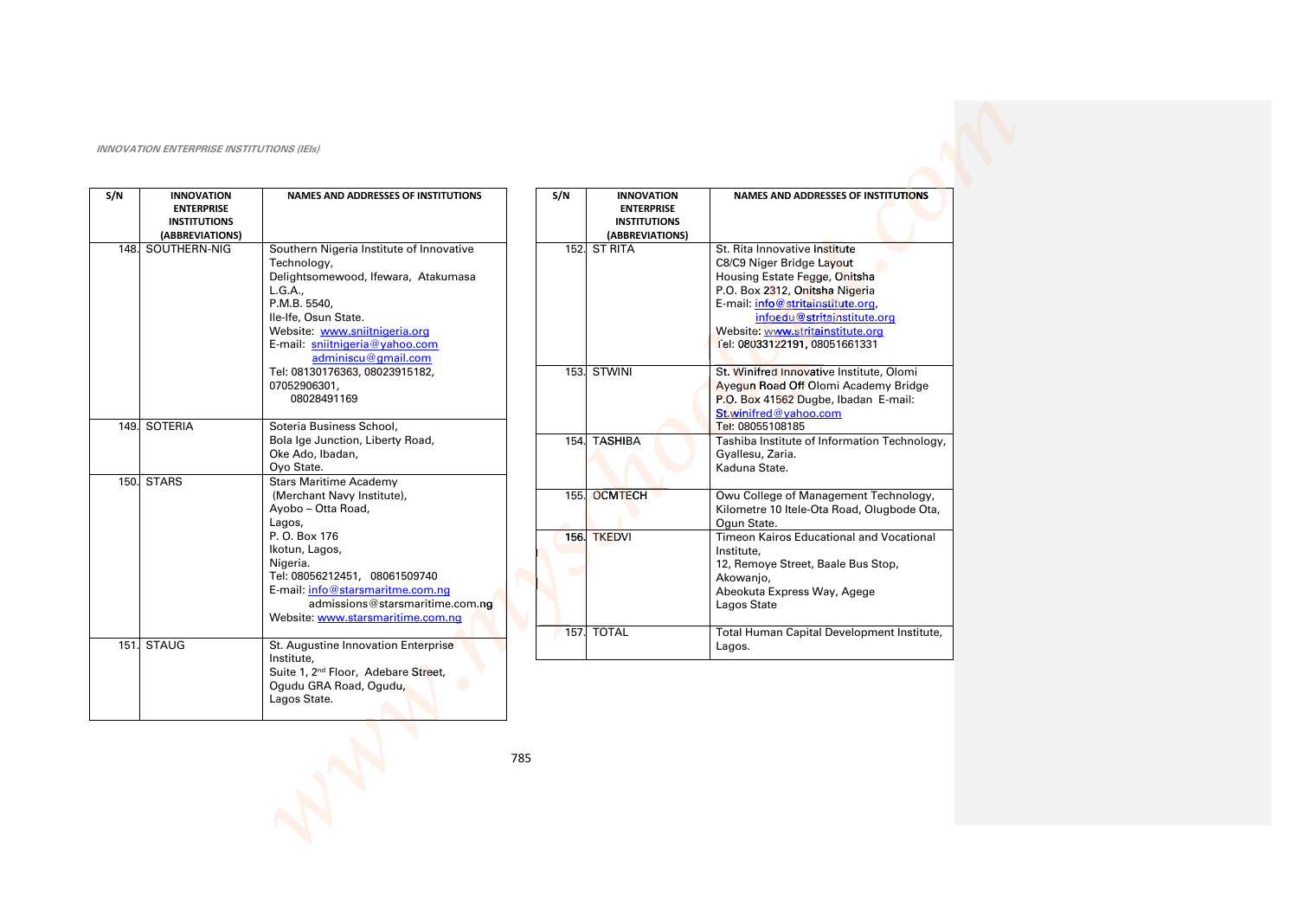| S/N  | <b>INNOVATION</b><br><b>ENTERPRISE</b><br><b>INSTITUTIONS</b><br>(ABBREVIATIONS) | <b>NAMES AND ADDRESSES OF INSTITUTIONS</b>                                                                                                                                                                                                                                              | S/N | <b>INNOVATION</b><br><b>ENTERPRISE</b><br><b>INSTITUTIONS</b><br>(ABBREVIATIONS) |
|------|----------------------------------------------------------------------------------|-----------------------------------------------------------------------------------------------------------------------------------------------------------------------------------------------------------------------------------------------------------------------------------------|-----|----------------------------------------------------------------------------------|
| 148. | SOUTHERN-NIG                                                                     | Southern Nigeria Institute of Innovative<br>Technology,<br>Delightsomewood, Ifewara, Atakumasa<br>L.G.A.,<br>P.M.B. 5540,<br>Ile-Ife, Osun State.<br>Website: www.sniitnigeria.org<br>E-mail: sniitnigeria@yahoo.com<br>adminiscu@gmail.com                                             |     | 152. ST RITA                                                                     |
|      |                                                                                  | Tel: 08130176363, 08023915182,<br>07052906301,<br>08028491169                                                                                                                                                                                                                           |     | 153. STWINI                                                                      |
|      | 149. SOTERIA                                                                     | Soteria Business School,<br>Bola Ige Junction, Liberty Road,<br>Oke Ado, Ibadan,<br>Oyo State.                                                                                                                                                                                          |     | 154. TASHIBA                                                                     |
|      | 150. STARS                                                                       | <b>Stars Maritime Academy</b><br>(Merchant Navy Institute),<br>Ayobo - Otta Road,<br>Lagos,<br>P. O. Box 176<br>Ikotun, Lagos,<br>Nigeria.<br>Tel: 08056212451, 08061509740<br>E-mail: info@starsmaritme.com.ng<br>admissions@starsmaritime.com.no<br>Website: www.starsmaritime.com.ng |     | 155. OCMTECH<br>156. TKEDVI<br>157. TOTAL                                        |
| 151. | <b>STAUG</b>                                                                     | St. Augustine Innovation Enterprise<br>Institute.<br>Suite 1, 2 <sup>nd</sup> Floor, Adebare Street,<br>Ogudu GRA Road, Ogudu,<br>Lagos State.                                                                                                                                          |     |                                                                                  |

|      | <b>INSTITUTIONS</b><br>(ABBREVIATIONS) |                                                                                                                                                                                                                                                                        |
|------|----------------------------------------|------------------------------------------------------------------------------------------------------------------------------------------------------------------------------------------------------------------------------------------------------------------------|
| 152. | <b>ST RITA</b>                         | St. Rita Innovative Institute<br>C8/C9 Niger Bridge Layout<br>Housing Estate Fegge, Onitsha<br>P.O. Box 2312, Onitsha Nigeria<br>E-mail: info@stritainstitute.org,<br>infoedu@stritainstitute.org<br>Website: www.stritainstitute.org<br>Tel: 08033122191, 08051661331 |
| 153. | <b>STWINI</b>                          | St. Winifred Innovative Institute, Olomi<br>Ayequn Road Off Olomi Academy Bridge<br>P.O. Box 41562 Dugbe, Ibadan E-mail:<br>St.winifred@yahoo.com<br>Tel: 08055108185                                                                                                  |
| 154. | <b>TASHIBA</b>                         | Tashiba Institute of Information Technology,<br>Gyallesu, Zaria.<br>Kaduna State.                                                                                                                                                                                      |
| 155. | <b>OCMTECH</b>                         | Owu College of Management Technology,<br>Kilometre 10 Itele-Ota Road, Olugbode Ota,<br>Oqun State.                                                                                                                                                                     |
| 156. | <b>TKEDVI</b>                          | Timeon Kairos Educational and Vocational<br>Institute,<br>12, Remoye Street, Baale Bus Stop,<br>Akowanjo,<br>Abeokuta Express Way, Agege<br>Lagos State                                                                                                                |
| 157. | <b>TOTAL</b>                           | Total Human Capital Development Institute,                                                                                                                                                                                                                             |

Lagos.

NAMES AND ADDRESSES OF INSTITUTIONS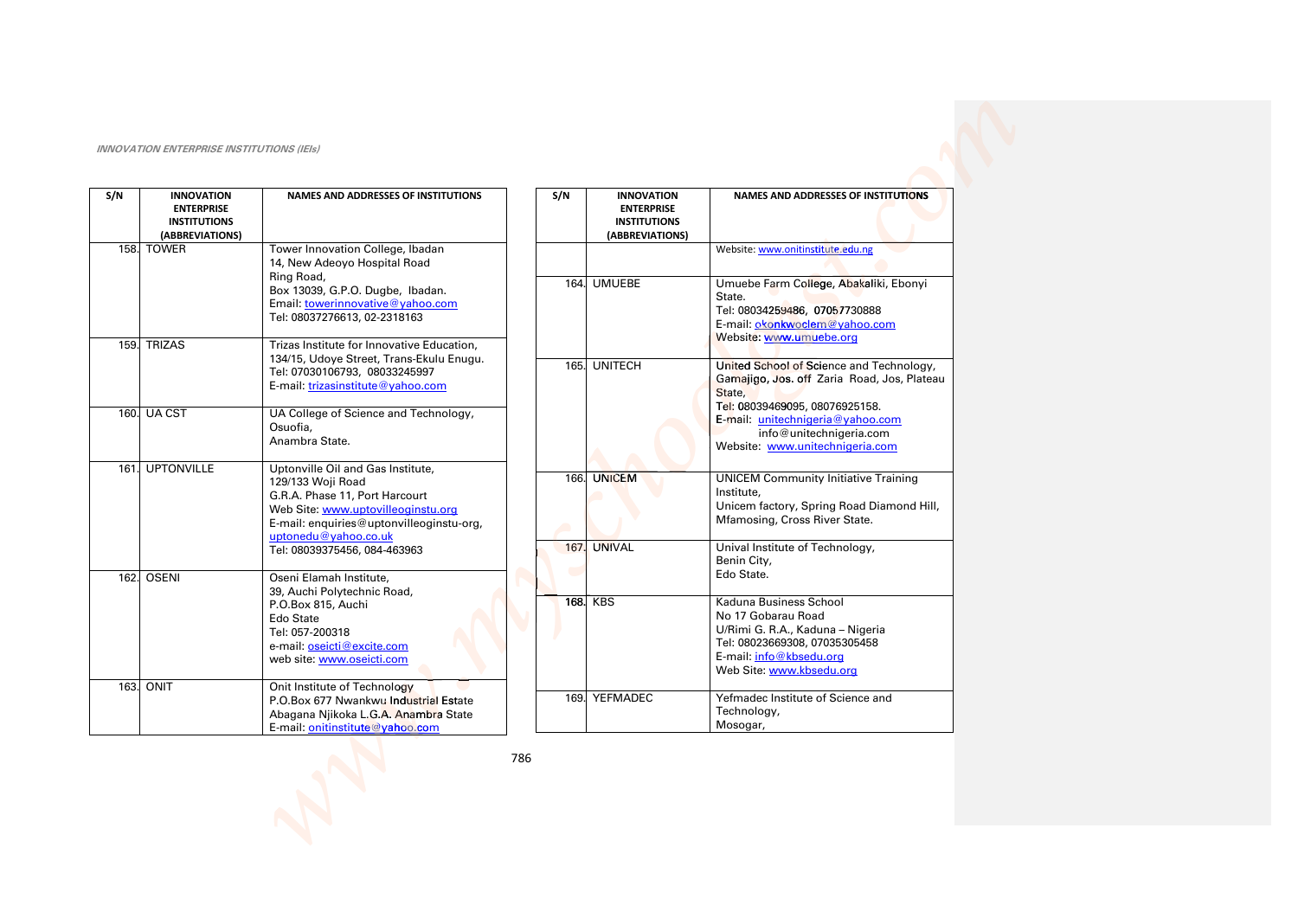| S/N  | <b>INNOVATION</b><br><b>ENTERPRISE</b><br><b>INSTITUTIONS</b><br>(ABBREVIATIONS) | <b>NAMES AND ADDRESSES OF INSTITUTIONS</b>                                                                                                                                                         | S/N |           | <b>INNOVATION</b><br><b>ENTERPRISE</b><br><b>INSTITUTIONS</b><br>(ABBREVIATIONS) | <b>NAMES AND ADDRESSES OF INSTITUTIONS</b>                                                                                                                               |
|------|----------------------------------------------------------------------------------|----------------------------------------------------------------------------------------------------------------------------------------------------------------------------------------------------|-----|-----------|----------------------------------------------------------------------------------|--------------------------------------------------------------------------------------------------------------------------------------------------------------------------|
|      | 158. TOWER                                                                       | Tower Innovation College, Ibadan<br>14, New Adeoyo Hospital Road                                                                                                                                   |     |           |                                                                                  | Website: www.onitinstitute.edu.ng                                                                                                                                        |
|      |                                                                                  | Ring Road,<br>Box 13039, G.P.O. Dugbe, Ibadan.<br>Email: towerinnovative@yahoo.com<br>Tel: 08037276613, 02-2318163                                                                                 |     | 164.      | <b>UMUEBE</b>                                                                    | Umuebe Farm College, Abakaliki, Ebonyi<br>State.<br>Tel: 08034259486, 07057730888<br>E-mail: okonkwoclem@yahoo.com<br>Website: www.umuebe.org                            |
|      | 159. TRIZAS                                                                      | Trizas Institute for Innovative Education,<br>134/15, Udoye Street, Trans-Ekulu Enugu.                                                                                                             |     |           |                                                                                  |                                                                                                                                                                          |
|      |                                                                                  | Tel: 07030106793, 08033245997<br>E-mail: trizasinstitute@yahoo.com                                                                                                                                 |     |           | 165. UNITECH                                                                     | United School of Science and Technology,<br>Gamajigo, Jos. off Zaria Road, Jos, Plateau<br>State,<br>Tel: 08039469095, 08076925158.                                      |
|      | 160. UA CST                                                                      | UA College of Science and Technology,<br>Osuofia.<br>Anambra State.                                                                                                                                |     |           |                                                                                  | E-mail: unitechnigeria@yahoo.com<br>info@unitechnigeria.com<br>Website: www.unitechnigeria.com                                                                           |
|      | 161. UPTONVILLE                                                                  | Uptonville Oil and Gas Institute,<br>129/133 Woji Road<br>G.R.A. Phase 11, Port Harcourt<br>Web Site: www.uptovilleoginstu.org<br>E-mail: enquiries@uptonvilleoginstu-org,<br>uptonedu@yahoo.co.uk |     | 166.      | <b>UNICEM</b>                                                                    | <b>UNICEM Community Initiative Training</b><br>Institute.<br>Unicem factory, Spring Road Diamond Hill,<br>Mfamosing, Cross River State.                                  |
| 162. | <b>OSENI</b>                                                                     | Tel: 08039375456, 084-463963<br>Oseni Elamah Institute,                                                                                                                                            |     | 167.<br>Œ | <b>UNIVAL</b>                                                                    | Unival Institute of Technology,<br>Benin City,<br>Edo State.                                                                                                             |
|      |                                                                                  | 39, Auchi Polytechnic Road,                                                                                                                                                                        |     |           |                                                                                  |                                                                                                                                                                          |
|      |                                                                                  | P.O.Box 815, Auchi<br>Edo State<br>Tel: 057-200318<br>e-mail: oseicti@excite.com<br>web site: www.oseicti.com                                                                                      |     | 168.      | <b>KBS</b>                                                                       | Kaduna Business School<br>No 17 Gobarau Road<br>U/Rimi G. R.A., Kaduna - Nigeria<br>Tel: 08023669308, 07035305458<br>E-mail: info@kbsedu.org<br>Web Site: www.kbsedu.org |
|      | 163. ONIT                                                                        | Onit Institute of Technology<br>P.O.Box 677 Nwankwu Industrial Estate<br>Abagana Njikoka L.G.A. Anambra State<br>E-mail: onitinstitute@yahoo.com                                                   |     | 169.      | YEFMADEC                                                                         | Yefmadec Institute of Science and<br>Technology,<br>Mosogar,                                                                                                             |